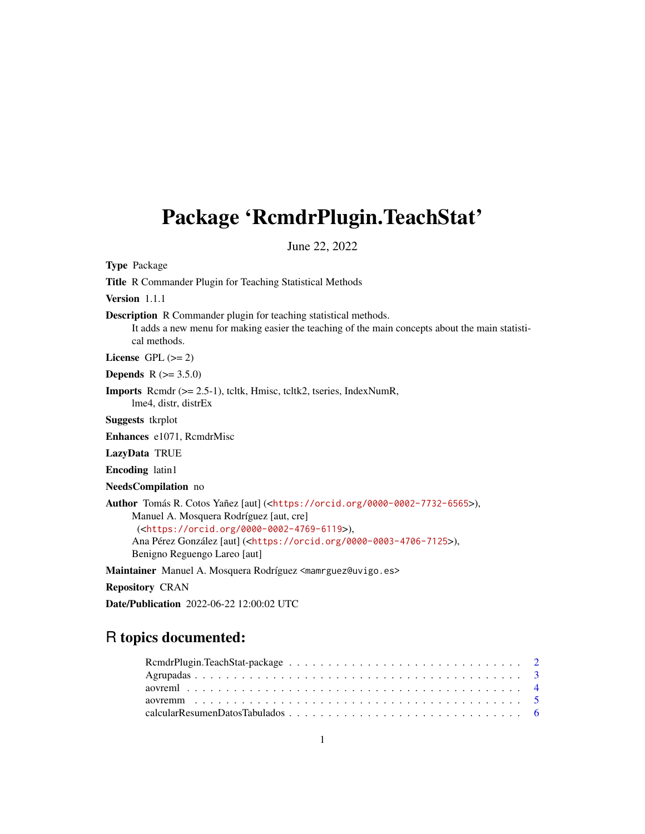## <span id="page-0-0"></span>Package 'RcmdrPlugin.TeachStat'

June 22, 2022

Type Package Title R Commander Plugin for Teaching Statistical Methods Version 1.1.1 Description R Commander plugin for teaching statistical methods. It adds a new menu for making easier the teaching of the main concepts about the main statistical methods. License GPL  $(>= 2)$ **Depends**  $R (= 3.5.0)$ Imports Rcmdr (>= 2.5-1), tcltk, Hmisc, tcltk2, tseries, IndexNumR, lme4, distr, distrEx Suggests tkrplot Enhances e1071, RcmdrMisc LazyData TRUE Encoding latin1 NeedsCompilation no Author Tomás R. Cotos Yañez [aut] (<<https://orcid.org/0000-0002-7732-6565>>), Manuel A. Mosquera Rodríguez [aut, cre] (<<https://orcid.org/0000-0002-4769-6119>>), Ana Pérez González [aut] (<<https://orcid.org/0000-0003-4706-7125>>), Benigno Reguengo Lareo [aut] Maintainer Manuel A. Mosquera Rodríguez <mamrguez@uvigo.es> Repository CRAN

Date/Publication 2022-06-22 12:00:02 UTC

## R topics documented: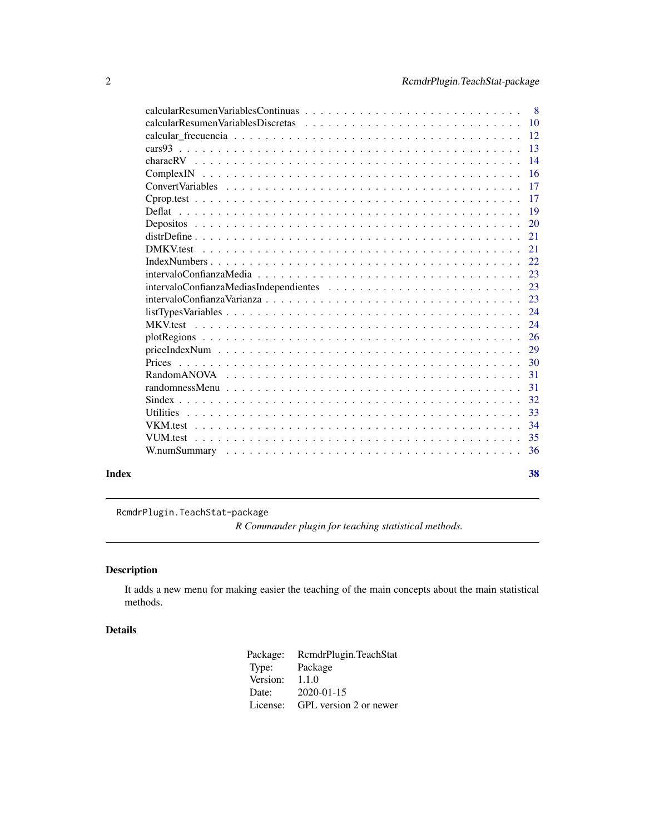<span id="page-1-0"></span>

|       | $\overline{\phantom{0}}8$ |
|-------|---------------------------|
|       |                           |
|       |                           |
|       | $-13$                     |
|       | $\overline{14}$           |
|       |                           |
|       | $-17$                     |
|       | 17                        |
|       |                           |
|       | -20                       |
|       | 21                        |
|       | 2.1                       |
|       | 22                        |
|       | 23                        |
|       | 23                        |
|       | 23                        |
|       |                           |
|       |                           |
|       |                           |
|       | 29                        |
|       |                           |
|       |                           |
|       |                           |
|       | 32                        |
|       | 33                        |
|       | 34                        |
|       |                           |
|       |                           |
| Index | 38                        |

RcmdrPlugin.TeachStat-package

*R Commander plugin for teaching statistical methods.*

### Description

It adds a new menu for making easier the teaching of the main concepts about the main statistical methods.

### Details

Package: RcmdrPlugin.TeachStat<br>Type: Package Package<br>1.1.0 Version: Date: 2020-01-15 License: GPL version 2 or newer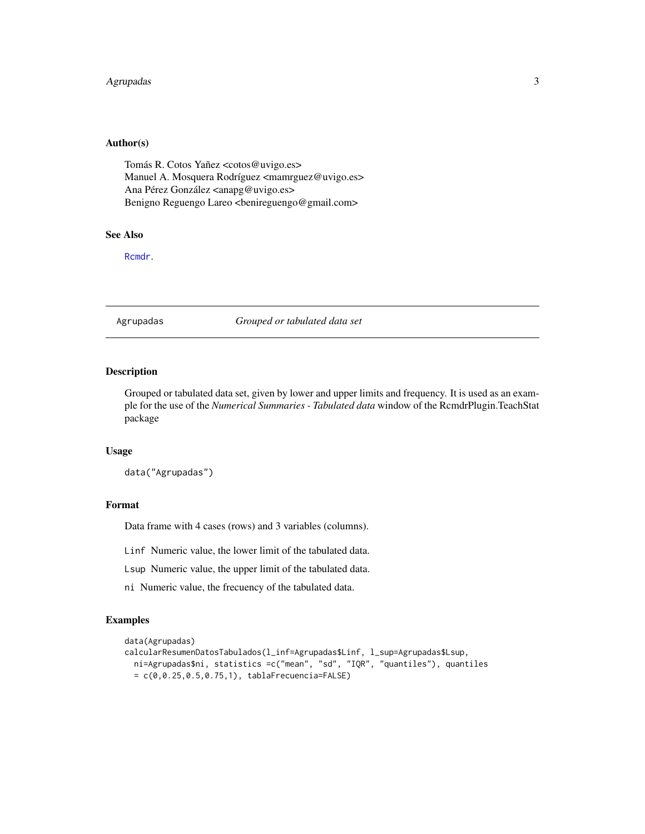### <span id="page-2-0"></span>Agrupadas 3

### Author(s)

Tomás R. Cotos Yañez <cotos@uvigo.es> Manuel A. Mosquera Rodríguez <mamrguez@uvigo.es> Ana Pérez González <anapg@uvigo.es> Benigno Reguengo Lareo <benireguengo@gmail.com>

### See Also

[Rcmdr](#page-0-0).

Agrupadas *Grouped or tabulated data set*

### Description

Grouped or tabulated data set, given by lower and upper limits and frequency. It is used as an example for the use of the *Numerical Summaries - Tabulated data* window of the RcmdrPlugin.TeachStat package

### Usage

data("Agrupadas")

#### Format

Data frame with 4 cases (rows) and 3 variables (columns).

Linf Numeric value, the lower limit of the tabulated data.

Lsup Numeric value, the upper limit of the tabulated data.

ni Numeric value, the frecuency of the tabulated data.

### Examples

```
data(Agrupadas)
calcularResumenDatosTabulados(l_inf=Agrupadas$Linf, l_sup=Agrupadas$Lsup,
 ni=Agrupadas$ni, statistics =c("mean", "sd", "IQR", "quantiles"), quantiles
 = c(0, 0.25, 0.5, 0.75, 1), tablaFrecuencia = FALSE)
```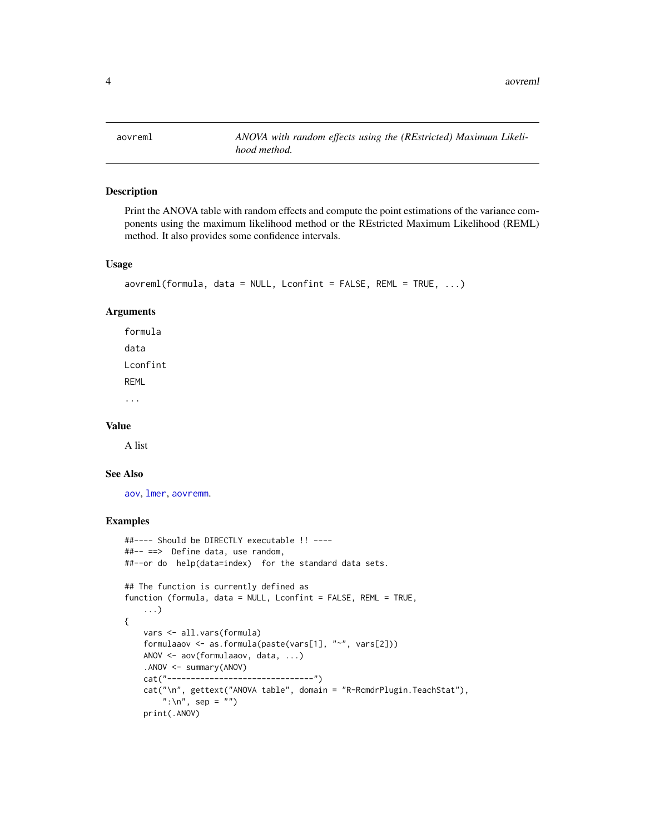<span id="page-3-1"></span><span id="page-3-0"></span>aovreml *ANOVA with random effects using the (REstricted) Maximum Likelihood method.*

### Description

Print the ANOVA table with random effects and compute the point estimations of the variance components using the maximum likelihood method or the REstricted Maximum Likelihood (REML) method. It also provides some confidence intervals.

#### Usage

```
aovreml(formula, data = NULL, Lconfint = FALSE, REML = TRUE, ...)
```
### Arguments

formula data Lconfint REML ...

#### Value

A list

#### See Also

[aov](#page-0-0), [lmer](#page-0-0), [aovremm](#page-4-1).

### Examples

```
##---- Should be DIRECTLY executable !! ----
##-- ==> Define data, use random,
##--or do help(data=index) for the standard data sets.
## The function is currently defined as
function (formula, data = NULL, Lconfint = FALSE, REML = TRUE,
    ...)
{
   vars <- all.vars(formula)
   formulaaov <- as.formula(paste(vars[1], "~", vars[2]))
   ANOV <- aov(formulaaov, data, ...)
    .ANOV <- summary(ANOV)
   cat("-------------------------------")
    cat("\n", gettext("ANOVA table", domain = "R-RcmdrPlugin.TeachStat"),
        ":\ln", sep = "")
   print(.ANOV)
```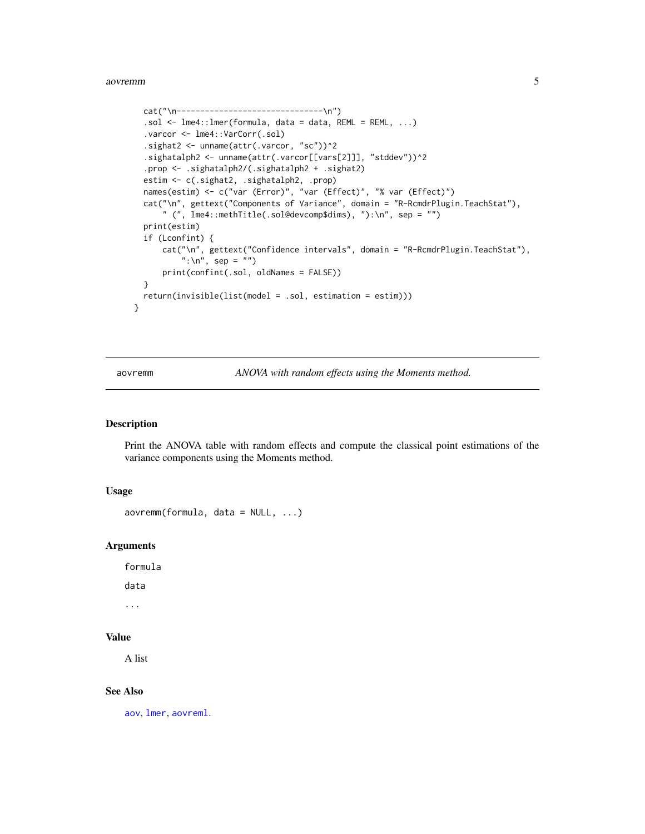```
cat("\n---------------------------------\n")
.sol <- lme4::lmer(formula, data = data, REML = REML, ...)
.varcor <- lme4::VarCorr(.sol)
.sighat2 <- unname(attr(.varcor, "sc"))^2
.sighatalph2 <- unname(attr(.varcor[[vars[2]]], "stddev"))^2
.prop <- .sighatalph2/(.sighatalph2 + .sighat2)
estim <- c(.sighat2, .sighatalph2, .prop)
names(estim) <- c("var (Error)", "var (Effect)", "% var (Effect)")
cat("\n", gettext("Components of Variance", domain = "R-RcmdrPlugin.TeachStat"),
    " (", lme4::methTitle(.sol@devcomp$dims), "):\n", sep = "")
print(estim)
if (Lconfint) {
    cat("\n", gettext("Confidence intervals", domain = "R-RcmdrPlugin.TeachStat"),
        ":\ln", sep = "")
    print(confint(.sol, oldNames = FALSE))
}
return(invisible(list(model = .sol, estimation = estim)))
```
}

<span id="page-4-1"></span>aovremm *ANOVA with random effects using the Moments method.*

### Description

Print the ANOVA table with random effects and compute the classical point estimations of the variance components using the Moments method.

### Usage

```
aovremm(fromula, data = NULL, ...)
```
### **Arguments**

formula

data

...

### Value

A list

#### See Also

[aov](#page-0-0), [lmer](#page-0-0), [aovreml](#page-3-1).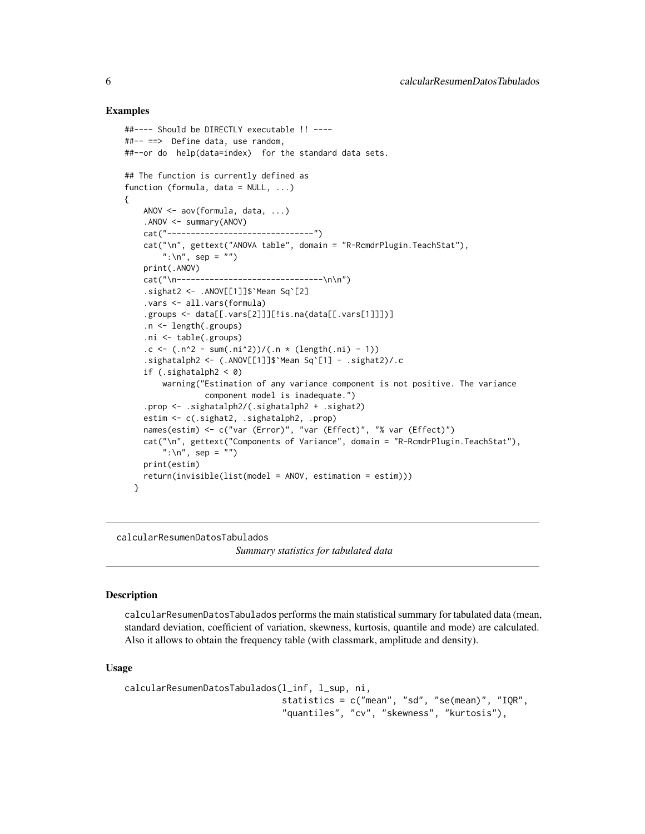### Examples

```
##---- Should be DIRECTLY executable !! ----
##-- ==> Define data, use random,
##--or do help(data=index) for the standard data sets.
## The function is currently defined as
function (formula, data = NULL, ...)
{
    ANOV <- aov(formula, data, ...)
    .ANOV <- summary(ANOV)
    cat("-------------------------------")
    cat("\n", gettext("ANOVA table", domain = "R-RcmdrPlugin.TeachStat"),
        ":\ln", sep = "")
    print(.ANOV)
    cat("\n--------------------------------\n\n")
    .sighat2 \leftarrow .ANOV[[1]]$`Mean Sq`[2]
    .vars <- all.vars(formula)
    .groups <- data[[.vars[2]]][!is.na(data[[.vars[1]]])]
    .n <- length(.groups)
    .ni <- table(.groups)
    .c <- (n^2 - sum(n^2)) / (n * (length(ni) - 1)).sighatalph2 <- (.ANOV[[1]]$`Mean Sq`[1] - .sighat2)/.c
    if (.sighatalph2 < 0)
        warning("Estimation of any variance component is not positive. The variance
                 component model is inadequate.")
    .prop <- .sighatalph2/(.sighatalph2 + .sighat2)
    estim <- c(.sighat2, .sighatalph2, .prop)
    names(estim) <- c("var (Error)", "var (Effect)", "% var (Effect)")
    cat("\n", gettext("Components of Variance", domain = "R-RcmdrPlugin.TeachStat"),
        ":\ln", sep = "")
    print(estim)
   return(invisible(list(model = ANOV, estimation = estim)))
  }
```
calcularResumenDatosTabulados

*Summary statistics for tabulated data*

#### Description

calcularResumenDatosTabulados performs the main statistical summary for tabulated data (mean, standard deviation, coefficient of variation, skewness, kurtosis, quantile and mode) are calculated. Also it allows to obtain the frequency table (with classmark, amplitude and density).

#### Usage

```
calcularResumenDatosTabulados(l_inf, l_sup, ni,
                              statistics = c("mean", "sd", "se(mean)", "IQR",
                              "quantiles", "cv", "skewness", "kurtosis"),
```
<span id="page-5-0"></span>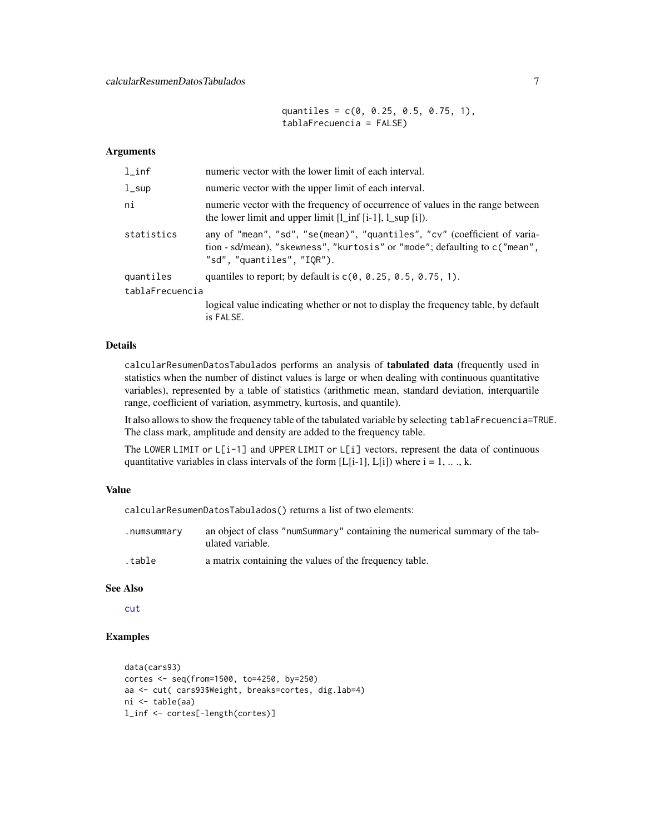quantiles =  $c(0, 0.25, 0.5, 0.75, 1)$ , tablaFrecuencia = FALSE)

#### <span id="page-6-0"></span>Arguments

| $1$ _inf        | numeric vector with the lower limit of each interval.                                                                                                                                 |
|-----------------|---------------------------------------------------------------------------------------------------------------------------------------------------------------------------------------|
| $1$ _sup        | numeric vector with the upper limit of each interval.                                                                                                                                 |
| ni              | numeric vector with the frequency of occurrence of values in the range between<br>the lower limit and upper limit $[1 \text{ inf } [i-1], 1 \text{ sup } [i])$ .                      |
| statistics      | any of "mean", "sd", "se(mean)", "quantiles", "cv" (coefficient of varia-<br>tion - sd/mean), "skewness", "kurtosis" or "mode"; defaulting to c("mean",<br>"sd", "quantiles", "IOR"). |
| quantiles       | quantiles to report; by default is $c(0, 0.25, 0.5, 0.75, 1)$ .                                                                                                                       |
| tablaFrecuencia |                                                                                                                                                                                       |
|                 | logical value indicating whether or not to display the frequency table, by default<br>is FALSE.                                                                                       |

### Details

calcularResumenDatosTabulados performs an analysis of tabulated data (frequently used in statistics when the number of distinct values is large or when dealing with continuous quantitative variables), represented by a table of statistics (arithmetic mean, standard deviation, interquartile range, coefficient of variation, asymmetry, kurtosis, and quantile).

It also allows to show the frequency table of the tabulated variable by selecting tablaFrecuencia=TRUE. The class mark, amplitude and density are added to the frequency table.

The LOWER LIMIT or L[i-1] and UPPER LIMIT or L[i] vectors, represent the data of continuous quantitative variables in class intervals of the form [L[i-1], L[i]) where  $i = 1, \ldots, k$ .

### Value

calcularResumenDatosTabulados() returns a list of two elements:

| .numsummary | an object of class "numSummary" containing the numerical summary of the tab-<br>ulated variable. |
|-------------|--------------------------------------------------------------------------------------------------|
| .table      | a matrix containing the values of the frequency table.                                           |

#### See Also

[cut](#page-0-0)

#### Examples

```
data(cars93)
cortes <- seq(from=1500, to=4250, by=250)
aa <- cut( cars93$Weight, breaks=cortes, dig.lab=4)
ni <- table(aa)
l_inf <- cortes[-length(cortes)]
```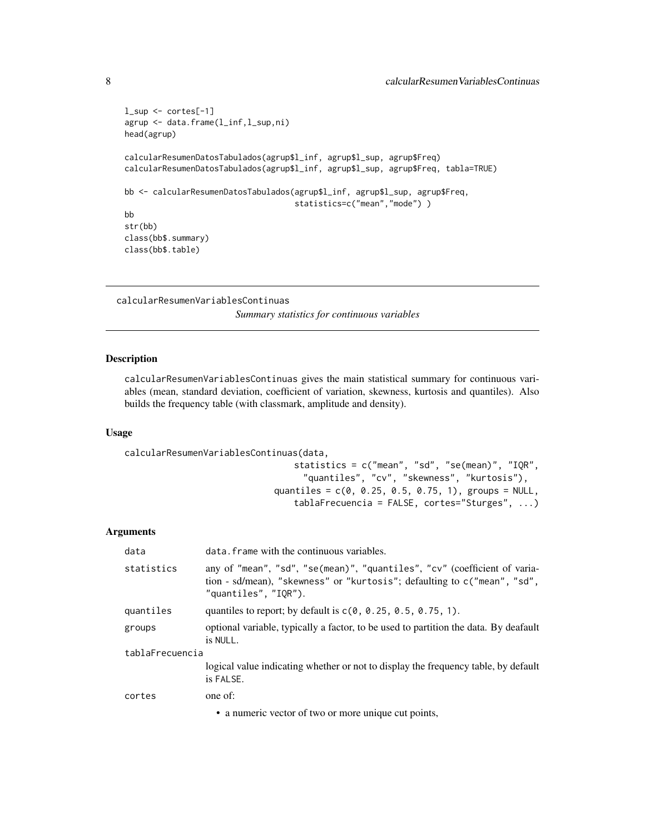```
l_sup <- cortes[-1]
agrup <- data.frame(l_inf,l_sup,ni)
head(agrup)
calcularResumenDatosTabulados(agrup$l_inf, agrup$l_sup, agrup$Freq)
calcularResumenDatosTabulados(agrup$l_inf, agrup$l_sup, agrup$Freq, tabla=TRUE)
bb <- calcularResumenDatosTabulados(agrup$l_inf, agrup$l_sup, agrup$Freq,
                                    statistics=c("mean","mode"))
bb
str(bb)
class(bb$.summary)
class(bb$.table)
```

```
calcularResumenVariablesContinuas
```
*Summary statistics for continuous variables*

### Description

calcularResumenVariablesContinuas gives the main statistical summary for continuous variables (mean, standard deviation, coefficient of variation, skewness, kurtosis and quantiles). Also builds the frequency table (with classmark, amplitude and density).

#### Usage

calcularResumenVariablesContinuas(data,

```
statistics = c("mean", "sd", "se(mean)", "IQR",
     "quantiles", "cv", "skewness", "kurtosis"),
quantiles = c(0, 0.25, 0.5, 0.75, 1), groups = NULL,
   tablaFrecuencia = FALSE, cortes="Sturges", ...)
```
#### Arguments

| data            | data. frame with the continuous variables.                                                                                                                                       |  |
|-----------------|----------------------------------------------------------------------------------------------------------------------------------------------------------------------------------|--|
| statistics      | any of "mean", "sd", "se(mean)", "quantiles", "cv" (coefficient of varia-<br>tion - sd/mean), "skewness" or "kurtosis"; defaulting to c("mean", "sd",<br>"quantiles", $"IOR"$ ). |  |
| quantiles       | quantiles to report; by default is $c(0, 0.25, 0.5, 0.75, 1)$ .                                                                                                                  |  |
| groups          | optional variable, typically a factor, to be used to partition the data. By deafault<br>is NULL.                                                                                 |  |
| tablaFrecuencia |                                                                                                                                                                                  |  |
|                 | logical value indicating whether or not to display the frequency table, by default<br>is FALSE.                                                                                  |  |
| cortes          | one of:                                                                                                                                                                          |  |
|                 | • a numeric vector of two or more unique cut points,                                                                                                                             |  |

<span id="page-7-0"></span>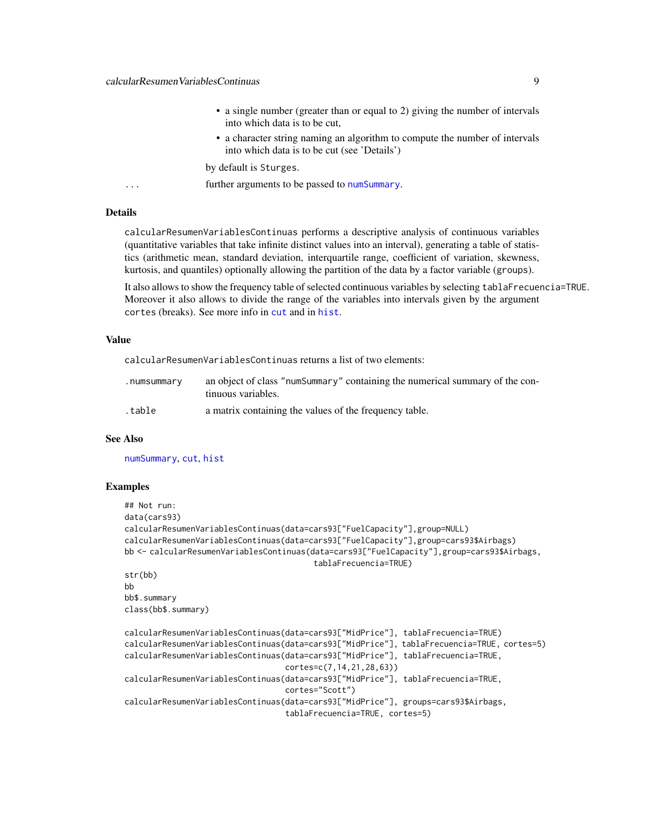- a single number (greater than or equal to 2) giving the number of intervals into which data is to be cut,
- a character string naming an algorithm to compute the number of intervals into which data is to be cut (see 'Details')

by default is Sturges.

<span id="page-8-0"></span>... **further arguments to be passed to [numSummary](#page-0-0).** 

### **Details**

calcularResumenVariablesContinuas performs a descriptive analysis of continuous variables (quantitative variables that take infinite distinct values into an interval), generating a table of statistics (arithmetic mean, standard deviation, interquartile range, coefficient of variation, skewness, kurtosis, and quantiles) optionally allowing the partition of the data by a factor variable (groups).

It also allows to show the frequency table of selected continuous variables by selecting tablaFrecuencia=TRUE. Moreover it also allows to divide the range of the variables into intervals given by the argument cortes (breaks). See more info in [cut](#page-0-0) and in [hist](#page-0-0).

#### Value

calcularResumenVariablesContinuas returns a list of two elements:

| .numsummary | an object of class "numSummary" containing the numerical summary of the con-<br>tinuous variables. |
|-------------|----------------------------------------------------------------------------------------------------|
| .table      | a matrix containing the values of the frequency table.                                             |

### See Also

[numSummary](#page-0-0), [cut](#page-0-0), [hist](#page-0-0)

#### Examples

```
## Not run:
data(cars93)
calcularResumenVariablesContinuas(data=cars93["FuelCapacity"],group=NULL)
calcularResumenVariablesContinuas(data=cars93["FuelCapacity"],group=cars93$Airbags)
bb <- calcularResumenVariablesContinuas(data=cars93["FuelCapacity"],group=cars93$Airbags,
                                        tablaFrecuencia=TRUE)
str(bb)
bb
bb$.summary
class(bb$.summary)
calcularResumenVariablesContinuas(data=cars93["MidPrice"], tablaFrecuencia=TRUE)
calcularResumenVariablesContinuas(data=cars93["MidPrice"], tablaFrecuencia=TRUE, cortes=5)
calcularResumenVariablesContinuas(data=cars93["MidPrice"], tablaFrecuencia=TRUE,
                                  cortes=c(7,14,21,28,63))
calcularResumenVariablesContinuas(data=cars93["MidPrice"], tablaFrecuencia=TRUE,
                                  cortes="Scott")
calcularResumenVariablesContinuas(data=cars93["MidPrice"], groups=cars93$Airbags,
```
tablaFrecuencia=TRUE, cortes=5)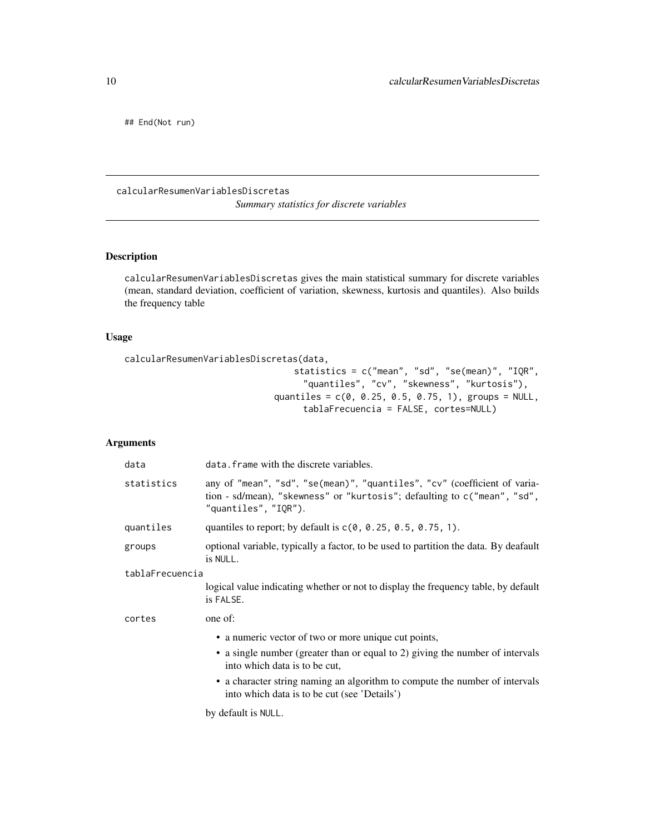<span id="page-9-0"></span>## End(Not run)

calcularResumenVariablesDiscretas *Summary statistics for discrete variables*

### Description

calcularResumenVariablesDiscretas gives the main statistical summary for discrete variables (mean, standard deviation, coefficient of variation, skewness, kurtosis and quantiles). Also builds the frequency table

### Usage

```
calcularResumenVariablesDiscretas(data,
```

```
statistics = c("mean", "sd", "se(mean)", "IQR",
     "quantiles", "cv", "skewness", "kurtosis"),
quantiles = c(0, 0.25, 0.5, 0.75, 1), groups = NULL,
     tablaFrecuencia = FALSE, cortes=NULL)
```
### Arguments

| data            | data. frame with the discrete variables.                                                                                                                                      |
|-----------------|-------------------------------------------------------------------------------------------------------------------------------------------------------------------------------|
| statistics      | any of "mean", "sd", "se(mean)", "quantiles", "cv" (coefficient of varia-<br>tion - sd/mean), "skewness" or "kurtosis"; defaulting to c("mean", "sd",<br>"quantiles", "IQR"). |
| quantiles       | quantiles to report; by default is $c(0, 0.25, 0.5, 0.75, 1)$ .                                                                                                               |
| groups          | optional variable, typically a factor, to be used to partition the data. By deafault<br>is NULL.                                                                              |
| tablaFrecuencia |                                                                                                                                                                               |
|                 | logical value indicating whether or not to display the frequency table, by default<br>is FALSE.                                                                               |
| cortes          | one of:                                                                                                                                                                       |
|                 | • a numeric vector of two or more unique cut points,                                                                                                                          |
|                 | • a single number (greater than or equal to 2) giving the number of intervals<br>into which data is to be cut,                                                                |
|                 | • a character string naming an algorithm to compute the number of intervals<br>into which data is to be cut (see 'Details')                                                   |
|                 |                                                                                                                                                                               |

by default is NULL.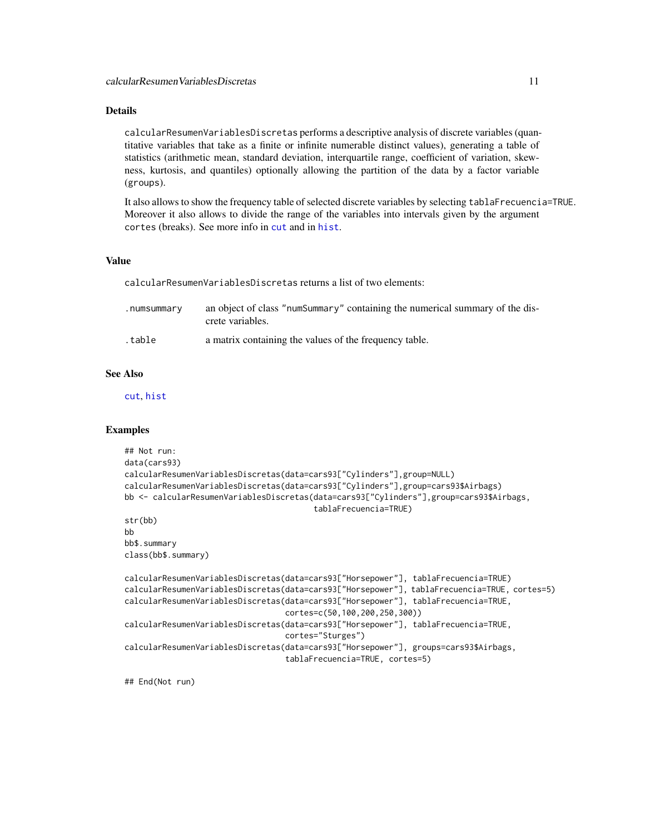### <span id="page-10-0"></span>Details

calcularResumenVariablesDiscretas performs a descriptive analysis of discrete variables (quantitative variables that take as a finite or infinite numerable distinct values), generating a table of statistics (arithmetic mean, standard deviation, interquartile range, coefficient of variation, skewness, kurtosis, and quantiles) optionally allowing the partition of the data by a factor variable (groups).

It also allows to show the frequency table of selected discrete variables by selecting tablaFrecuencia=TRUE. Moreover it also allows to divide the range of the variables into intervals given by the argument cortes (breaks). See more info in [cut](#page-0-0) and in [hist](#page-0-0).

#### Value

calcularResumenVariablesDiscretas returns a list of two elements:

| .numsummary | an object of class "numSummary" containing the numerical summary of the dis-<br>crete variables. |
|-------------|--------------------------------------------------------------------------------------------------|
| .table      | a matrix containing the values of the frequency table.                                           |

#### See Also

[cut](#page-0-0), [hist](#page-0-0)

#### Examples

```
## Not run:
data(cars93)
calcularResumenVariablesDiscretas(data=cars93["Cylinders"],group=NULL)
calcularResumenVariablesDiscretas(data=cars93["Cylinders"],group=cars93$Airbags)
bb <- calcularResumenVariablesDiscretas(data=cars93["Cylinders"],group=cars93$Airbags,
                                        tablaFrecuencia=TRUE)
str(bb)
bb
bb$.summary
class(bb$.summary)
calcularResumenVariablesDiscretas(data=cars93["Horsepower"], tablaFrecuencia=TRUE)
calcularResumenVariablesDiscretas(data=cars93["Horsepower"], tablaFrecuencia=TRUE, cortes=5)
calcularResumenVariablesDiscretas(data=cars93["Horsepower"], tablaFrecuencia=TRUE,
                                  cortes=c(50,100,200,250,300))
calcularResumenVariablesDiscretas(data=cars93["Horsepower"], tablaFrecuencia=TRUE,
                                  cortes="Sturges")
calcularResumenVariablesDiscretas(data=cars93["Horsepower"], groups=cars93$Airbags,
                                  tablaFrecuencia=TRUE, cortes=5)
```
## End(Not run)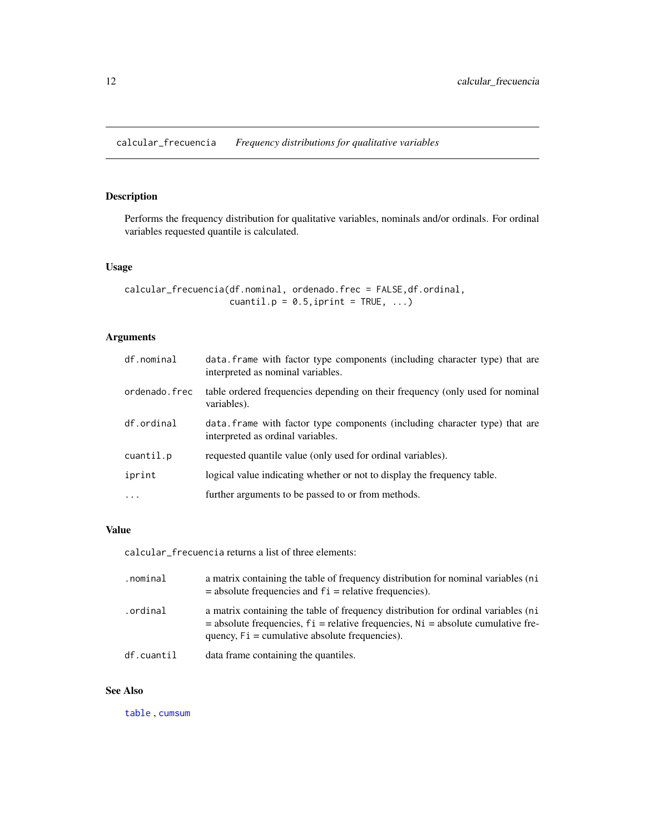### <span id="page-11-0"></span>Description

Performs the frequency distribution for qualitative variables, nominals and/or ordinals. For ordinal variables requested quantile is calculated.

### Usage

```
calcular_frecuencia(df.nominal, ordenado.frec = FALSE,df.ordinal,
                    cuantil.p = 0.5, iprint = TRUE, ...)
```
### Arguments

| df.nominal    | data. Frame with factor type components (including character type) that are<br>interpreted as nominal variables. |
|---------------|------------------------------------------------------------------------------------------------------------------|
| ordenado.frec | table ordered frequencies depending on their frequency (only used for nominal<br>variables).                     |
| df.ordinal    | data. Frame with factor type components (including character type) that are<br>interpreted as ordinal variables. |
| cuantil.p     | requested quantile value (only used for ordinal variables).                                                      |
| iprint        | logical value indicating whether or not to display the frequency table.                                          |
| $\cdot$       | further arguments to be passed to or from methods.                                                               |

### Value

calcular\_frecuencia returns a list of three elements:

| .nominal   | a matrix containing the table of frequency distribution for nominal variables (ni<br>$=$ absolute frequencies and $fi =$ relative frequencies).                                                                                  |
|------------|----------------------------------------------------------------------------------------------------------------------------------------------------------------------------------------------------------------------------------|
| .ordinal   | a matrix containing the table of frequency distribution for ordinal variables (ni<br>$=$ absolute frequencies, $f_i$ = relative frequencies, $Ni$ = absolute cumulative fre-<br>quency, $Fi =$ cumulative absolute frequencies). |
| df.cuantil | data frame containing the quantiles.                                                                                                                                                                                             |

### See Also

[table](#page-0-0) , [cumsum](#page-0-0)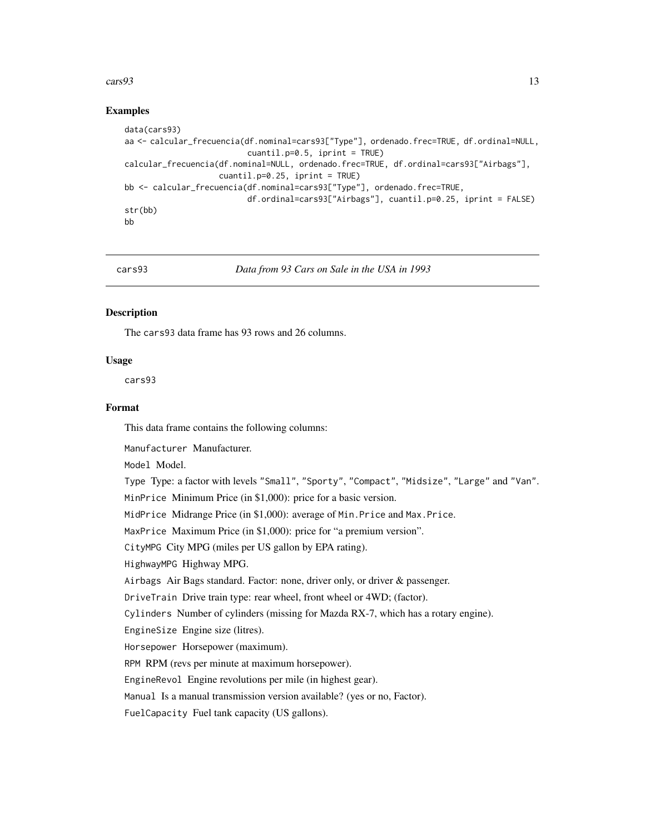#### <span id="page-12-0"></span> $\cos 93$  13

### Examples

```
data(cars93)
aa <- calcular_frecuencia(df.nominal=cars93["Type"], ordenado.frec=TRUE, df.ordinal=NULL,
                          cuantil.p=0.5, iprint = TRUE)
calcular_frecuencia(df.nominal=NULL, ordenado.frec=TRUE, df.ordinal=cars93["Airbags"],
                    cuantil.p=0.25, iprint = TRUE)
bb <- calcular_frecuencia(df.nominal=cars93["Type"], ordenado.frec=TRUE,
                          df.ordinal=cars93["Airbags"], cuantil.p=0.25, iprint = FALSE)
str(bb)
bb
```
cars93 *Data from 93 Cars on Sale in the USA in 1993*

#### Description

The cars93 data frame has 93 rows and 26 columns.

#### Usage

cars93

#### Format

This data frame contains the following columns:

Manufacturer Manufacturer.

Model Model.

Type Type: a factor with levels "Small", "Sporty", "Compact", "Midsize", "Large" and "Van".

MinPrice Minimum Price (in \$1,000): price for a basic version.

MidPrice Midrange Price (in \$1,000): average of Min.Price and Max.Price.

MaxPrice Maximum Price (in \$1,000): price for "a premium version".

CityMPG City MPG (miles per US gallon by EPA rating).

HighwayMPG Highway MPG.

Airbags Air Bags standard. Factor: none, driver only, or driver & passenger.

DriveTrain Drive train type: rear wheel, front wheel or 4WD; (factor).

Cylinders Number of cylinders (missing for Mazda RX-7, which has a rotary engine).

EngineSize Engine size (litres).

Horsepower Horsepower (maximum).

RPM RPM (revs per minute at maximum horsepower).

EngineRevol Engine revolutions per mile (in highest gear).

Manual Is a manual transmission version available? (yes or no, Factor).

FuelCapacity Fuel tank capacity (US gallons).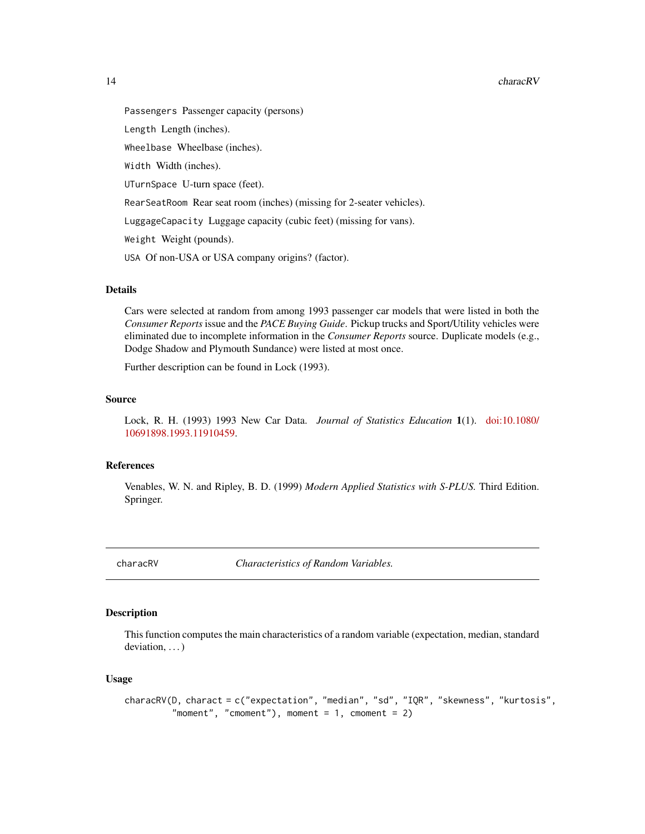#### <span id="page-13-0"></span>14 characRV

Passengers Passenger capacity (persons) Length Length (inches). Wheelbase Wheelbase (inches). Width Width (inches). UTurnSpace U-turn space (feet). RearSeatRoom Rear seat room (inches) (missing for 2-seater vehicles). LuggageCapacity Luggage capacity (cubic feet) (missing for vans). Weight Weight (pounds). USA Of non-USA or USA company origins? (factor).

### Details

Cars were selected at random from among 1993 passenger car models that were listed in both the *Consumer Reports* issue and the *PACE Buying Guide*. Pickup trucks and Sport/Utility vehicles were eliminated due to incomplete information in the *Consumer Reports* source. Duplicate models (e.g., Dodge Shadow and Plymouth Sundance) were listed at most once.

Further description can be found in Lock (1993).

#### Source

Lock, R. H. (1993) 1993 New Car Data. *Journal of Statistics Education* 1(1). [doi:10.1080/](https://doi.org/10.1080/10691898.1993.11910459) [10691898.1993.11910459.](https://doi.org/10.1080/10691898.1993.11910459)

#### References

Venables, W. N. and Ripley, B. D. (1999) *Modern Applied Statistics with S-PLUS.* Third Edition. Springer.

characRV *Characteristics of Random Variables.*

#### Description

This function computes the main characteristics of a random variable (expectation, median, standard deviation, ...)

#### Usage

```
characRV(D, charact = c("expectation", "median", "sd", "IQR", "skewness", "kurtosis",
         "moment", "cmoment"), moment = 1, cmoment = 2)
```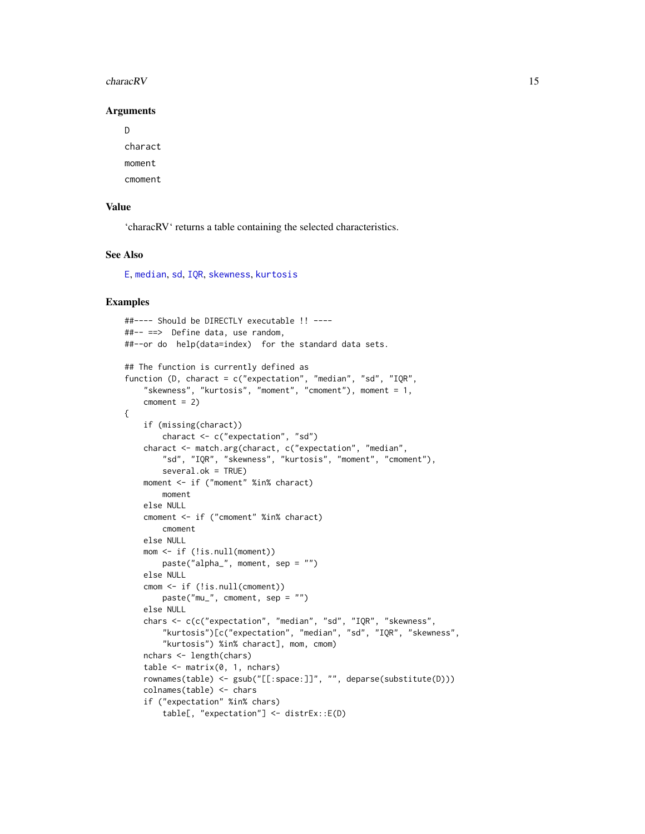#### <span id="page-14-0"></span>characRV 15

### Arguments

D charact moment

cmoment

### Value

'characRV' returns a table containing the selected characteristics.

### See Also

[E](#page-0-0), [median](#page-0-0), [sd](#page-0-0), [IQR](#page-0-0), [skewness](#page-0-0), [kurtosis](#page-0-0)

### Examples

```
##---- Should be DIRECTLY executable !! ----
##-- ==> Define data, use random,
##--or do help(data=index) for the standard data sets.
## The function is currently defined as
function (D, charact = c("expectation", "median", "sd", "IQR",
    "skewness", "kurtosis", "moment", "cmoment"), moment = 1,
   cmoment = 2)
{
   if (missing(charact))
       charact <- c("expectation", "sd")
    charact <- match.arg(charact, c("expectation", "median",
       "sd", "IQR", "skewness", "kurtosis", "moment", "cmoment"),
       several.ok = TRUE)
   moment <- if ("moment" %in% charact)
       moment
    else NULL
    cmoment <- if ("cmoment" %in% charact)
       cmoment
    else NULL
   mom <- if (!is.null(moment))
       paste("alpha_", moment, sep = "")
    else NULL
    cmom <- if (!is.null(cmoment))
       paste("mu_", cmoment, sep = "")
    else NULL
   chars <- c(c("expectation", "median", "sd", "IQR", "skewness",
        "kurtosis")[c("expectation", "median", "sd", "IQR", "skewness",
        "kurtosis") %in% charact], mom, cmom)
   nchars <- length(chars)
    table \leq matrix(0, 1, nchars)
   rownames(table) <- gsub("[[:space:]]", "", deparse(substitute(D)))
    colnames(table) <- chars
    if ("expectation" %in% chars)
       table[, "expectation"] <- distrEx::E(D)
```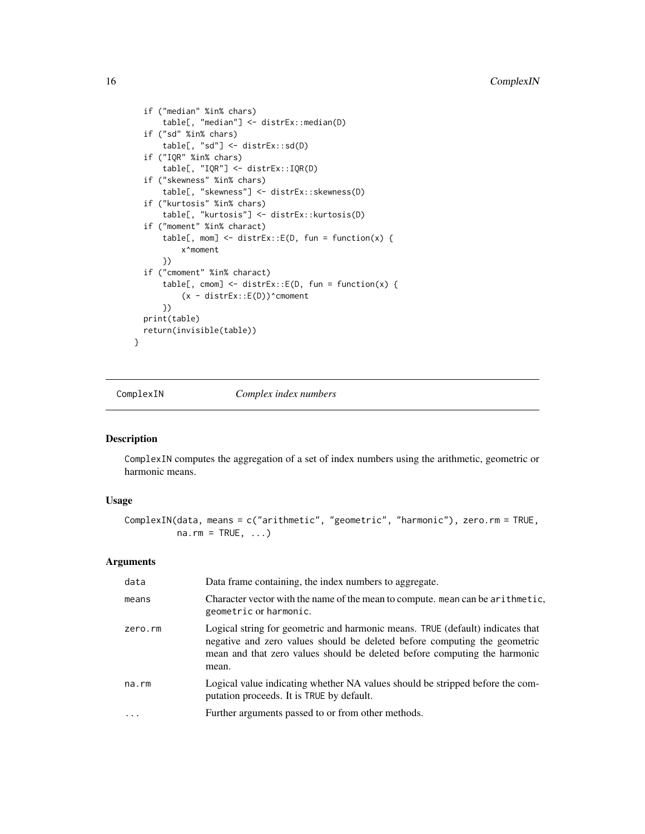```
if ("median" %in% chars)
      table[, "median"] <- distrEx::median(D)
  if ("sd" %in% chars)
      table[, "sd"] <- distrEx::sd(D)
  if ("IQR" %in% chars)
      table[, "IQR"] <- distrEx::IQR(D)
  if ("skewness" %in% chars)
      table[, "skewness"] <- distrEx::skewness(D)
  if ("kurtosis" %in% chars)
      table[, "kurtosis"] <- distrEx::kurtosis(D)
  if ("moment" %in% charact)
      table[, mom] <- distrEx::E(D, fun = function(x) {
          x^moment
      })
  if ("cmoment" %in% charact)
      table[, cmom] <- distrEx::E(D, fun = function(x) {
          (x - <i>distrEx</i>::E(D))^cmoment
      })
 print(table)
 return(invisible(table))
}
```
<span id="page-15-1"></span>ComplexIN *Complex index numbers*

### Description

ComplexIN computes the aggregation of a set of index numbers using the arithmetic, geometric or harmonic means.

### Usage

```
ComplexIN(data, means = c("arithmetic", "geometric", "harmonic"), zero.rm = TRUE,
         na.rm = TRUE, ...
```
### Arguments

| data      | Data frame containing, the index numbers to aggregate.                                                                                                                                                                                            |
|-----------|---------------------------------------------------------------------------------------------------------------------------------------------------------------------------------------------------------------------------------------------------|
| means     | Character vector with the name of the mean to compute. mean can be arithmetic,<br>geometric or harmonic.                                                                                                                                          |
| zero.rm   | Logical string for geometric and harmonic means. TRUE (default) indicates that<br>negative and zero values should be deleted before computing the geometric<br>mean and that zero values should be deleted before computing the harmonic<br>mean. |
| na.rm     | Logical value indicating whether NA values should be stripped before the com-<br>putation proceeds. It is TRUE by default.                                                                                                                        |
| $\ddotsc$ | Further arguments passed to or from other methods.                                                                                                                                                                                                |

<span id="page-15-0"></span>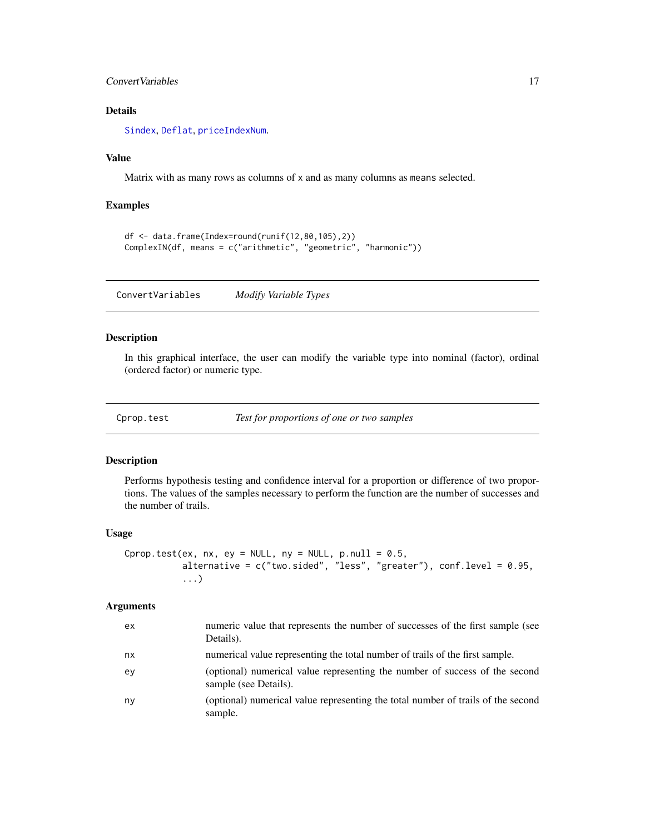### <span id="page-16-0"></span>ConvertVariables 17

### Details

[Sindex](#page-31-1), [Deflat](#page-18-1), [priceIndexNum](#page-28-1).

#### Value

Matrix with as many rows as columns of x and as many columns as means selected.

### Examples

```
df <- data.frame(Index=round(runif(12,80,105),2))
ComplexIN(df, means = c("arithmetic", "geometric", "harmonic"))
```
ConvertVariables *Modify Variable Types*

### Description

In this graphical interface, the user can modify the variable type into nominal (factor), ordinal (ordered factor) or numeric type.

Cprop.test *Test for proportions of one or two samples*

#### Description

Performs hypothesis testing and confidence interval for a proportion or difference of two proportions. The values of the samples necessary to perform the function are the number of successes and the number of trails.

### Usage

```
Cprop.test(ex, nx, ey = NULL, ny = NULL, pnull = 0.5,
          alternative = c("two.sided", "less", "greater"), conf.level = 0.95,
           ...)
```
### Arguments

| ex | numeric value that represents the number of successes of the first sample (see<br>Details).          |
|----|------------------------------------------------------------------------------------------------------|
| nx | numerical value representing the total number of trails of the first sample.                         |
| ev | (optional) numerical value representing the number of success of the second<br>sample (see Details). |
| ny | (optional) numerical value representing the total number of trails of the second<br>sample.          |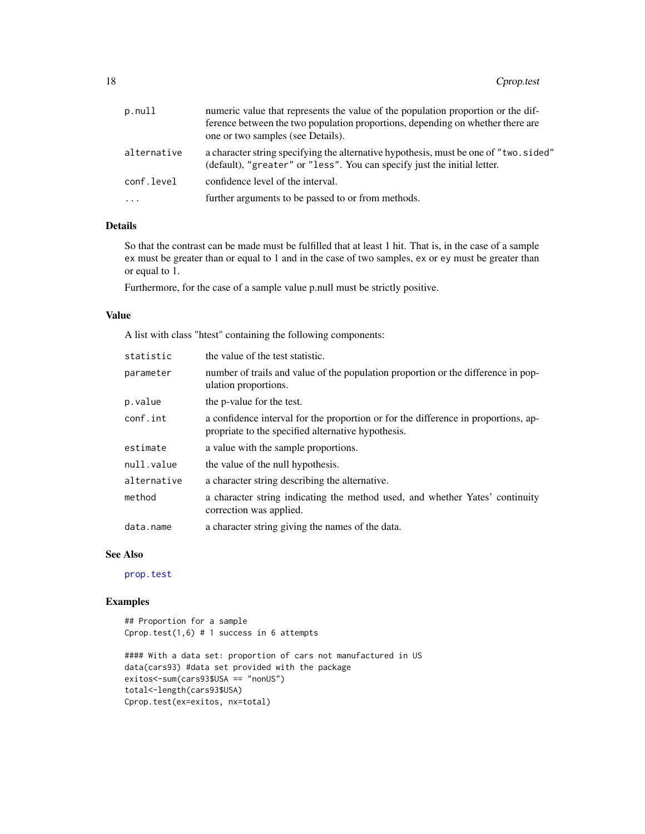<span id="page-17-0"></span>

| p.null      | numeric value that represents the value of the population proportion or the dif-<br>ference between the two population proportions, depending on whether there are<br>one or two samples (see Details). |
|-------------|---------------------------------------------------------------------------------------------------------------------------------------------------------------------------------------------------------|
| alternative | a character string specifying the alternative hypothesis, must be one of "two. sided"<br>(default), "greater" or "less". You can specify just the initial letter.                                       |
| conf.level  | confidence level of the interval.                                                                                                                                                                       |
| $\cdots$    | further arguments to be passed to or from methods.                                                                                                                                                      |
|             |                                                                                                                                                                                                         |

### Details

So that the contrast can be made must be fulfilled that at least 1 hit. That is, in the case of a sample ex must be greater than or equal to 1 and in the case of two samples, ex or ey must be greater than or equal to 1.

Furthermore, for the case of a sample value p.null must be strictly positive.

### Value

A list with class "htest" containing the following components:

| statistic   | the value of the test statistic.                                                                                                         |
|-------------|------------------------------------------------------------------------------------------------------------------------------------------|
| parameter   | number of trails and value of the population proportion or the difference in pop-<br>ulation proportions.                                |
| p.value     | the p-value for the test.                                                                                                                |
| conf.int    | a confidence interval for the proportion or for the difference in proportions, ap-<br>propriate to the specified alternative hypothesis. |
| estimate    | a value with the sample proportions.                                                                                                     |
| null.value  | the value of the null hypothesis.                                                                                                        |
| alternative | a character string describing the alternative.                                                                                           |
| method      | a character string indicating the method used, and whether Yates' continuity<br>correction was applied.                                  |
| data.name   | a character string giving the names of the data.                                                                                         |

### See Also

[prop.test](#page-0-0)

### Examples

## Proportion for a sample Cprop.test $(1,6)$  # 1 success in 6 attempts

```
#### With a data set: proportion of cars not manufactured in US
data(cars93) #data set provided with the package
exitos<-sum(cars93$USA == "nonUS")
total<-length(cars93$USA)
Cprop.test(ex=exitos, nx=total)
```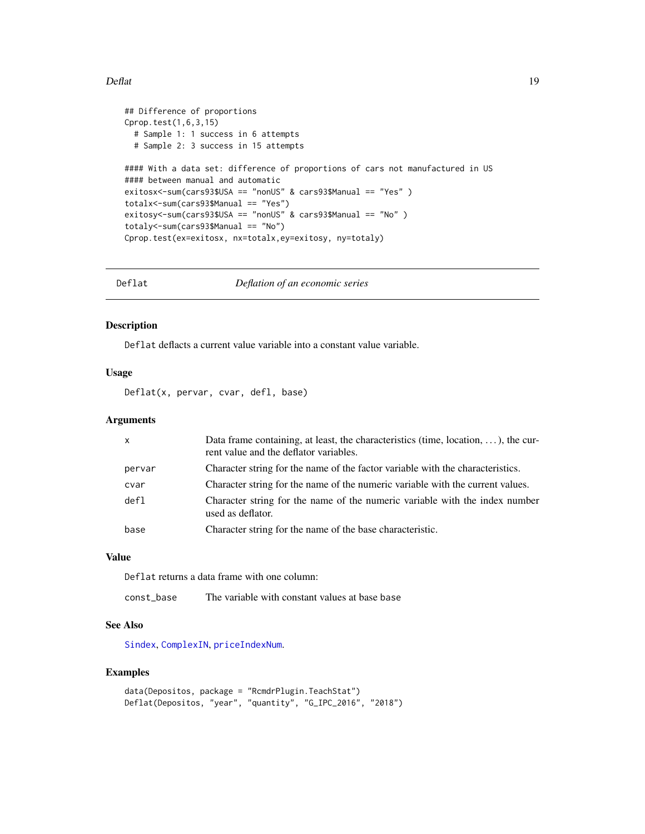#### <span id="page-18-0"></span> $\text{Deflat}$  19

```
## Difference of proportions
Cprop.test(1,6,3,15)
  # Sample 1: 1 success in 6 attempts
  # Sample 2: 3 success in 15 attempts
#### With a data set: difference of proportions of cars not manufactured in US
#### between manual and automatic
exitosx<-sum(cars93$USA == "nonUS" & cars93$Manual == "Yes" )
totalx<-sum(cars93$Manual == "Yes")
exitosy<-sum(cars93$USA == "nonUS" & cars93$Manual == "No" )
totaly<-sum(cars93$Manual == "No")
Cprop.test(ex=exitosx, nx=totalx,ey=exitosy, ny=totaly)
```
<span id="page-18-1"></span>Deflat *Deflation of an economic series*

### Description

Deflat deflacts a current value variable into a constant value variable.

#### Usage

Deflat(x, pervar, cvar, defl, base)

#### Arguments

| $\times$ | Data frame containing, at least, the characteristics (time, location, $\dots$ ), the cur-<br>rent value and the deflator variables. |
|----------|-------------------------------------------------------------------------------------------------------------------------------------|
| pervar   | Character string for the name of the factor variable with the characteristics.                                                      |
| cvar     | Character string for the name of the numeric variable with the current values.                                                      |
| def1     | Character string for the name of the numeric variable with the index number<br>used as deflator.                                    |
| base     | Character string for the name of the base characteristic.                                                                           |

### Value

Deflat returns a data frame with one column:

const\_base The variable with constant values at base base

#### See Also

[Sindex](#page-31-1), [ComplexIN](#page-15-1), [priceIndexNum](#page-28-1).

### Examples

```
data(Depositos, package = "RcmdrPlugin.TeachStat")
Deflat(Depositos, "year", "quantity", "G_IPC_2016", "2018")
```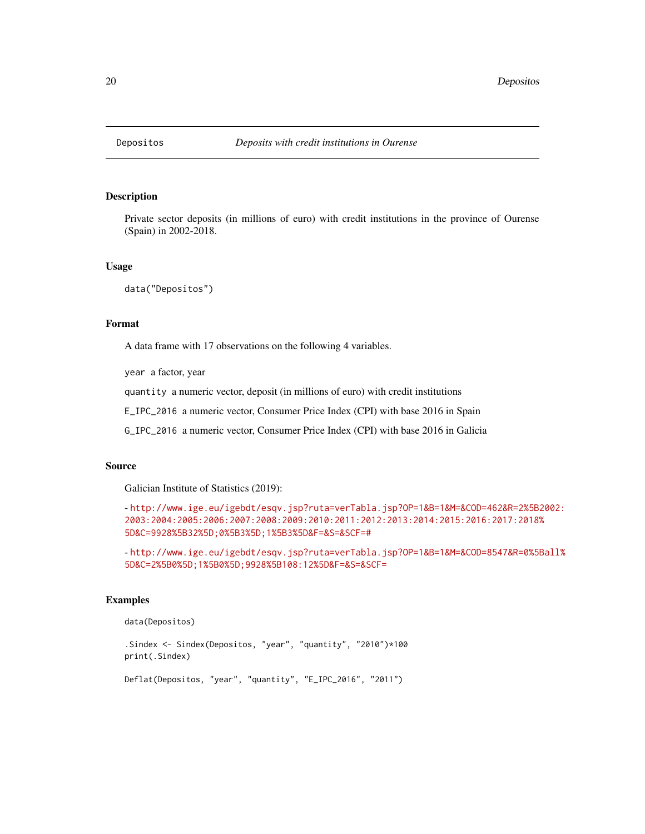<span id="page-19-0"></span>

### Description

Private sector deposits (in millions of euro) with credit institutions in the province of Ourense (Spain) in 2002-2018.

#### Usage

data("Depositos")

### Format

A data frame with 17 observations on the following 4 variables.

year a factor, year

quantity a numeric vector, deposit (in millions of euro) with credit institutions

E\_IPC\_2016 a numeric vector, Consumer Price Index (CPI) with base 2016 in Spain

G\_IPC\_2016 a numeric vector, Consumer Price Index (CPI) with base 2016 in Galicia

#### Source

Galician Institute of Statistics (2019):

```
- http://www.ige.eu/igebdt/esqv.jsp?ruta=verTabla.jsp?OP=1&B=1&M=&COD=462&R=2%5B2002:
2003:2004:2005:2006:2007:2008:2009:2010:2011:2012:2013:2014:2015:2016:2017:2018%
5D&C=9928%5B32%5D;0%5B3%5D;1%5B3%5D&F=&S=&SCF=#
```
- [http://www.ige.eu/igebdt/esqv.jsp?ruta=verTabla.jsp?OP=1&B=1&M=&COD=8547&R=0%5B](http://www.ige.eu/igebdt/esqv.jsp?ruta=verTabla.jsp?OP=1&B=1&M=&COD=8547&R=0%5Ball%5D&C=2%5B0%5D;1%5B0%5D;9928%5B108:12%5D&F=&S=&SCF=)all% [5D&C=2%5B0%5D;1%5B0%5D;9928%5B108:12%5D&F=&S=&SCF=](http://www.ige.eu/igebdt/esqv.jsp?ruta=verTabla.jsp?OP=1&B=1&M=&COD=8547&R=0%5Ball%5D&C=2%5B0%5D;1%5B0%5D;9928%5B108:12%5D&F=&S=&SCF=)

#### Examples

data(Depositos)

.Sindex <- Sindex(Depositos, "year", "quantity", "2010")\*100 print(.Sindex)

Deflat(Depositos, "year", "quantity", "E\_IPC\_2016", "2011")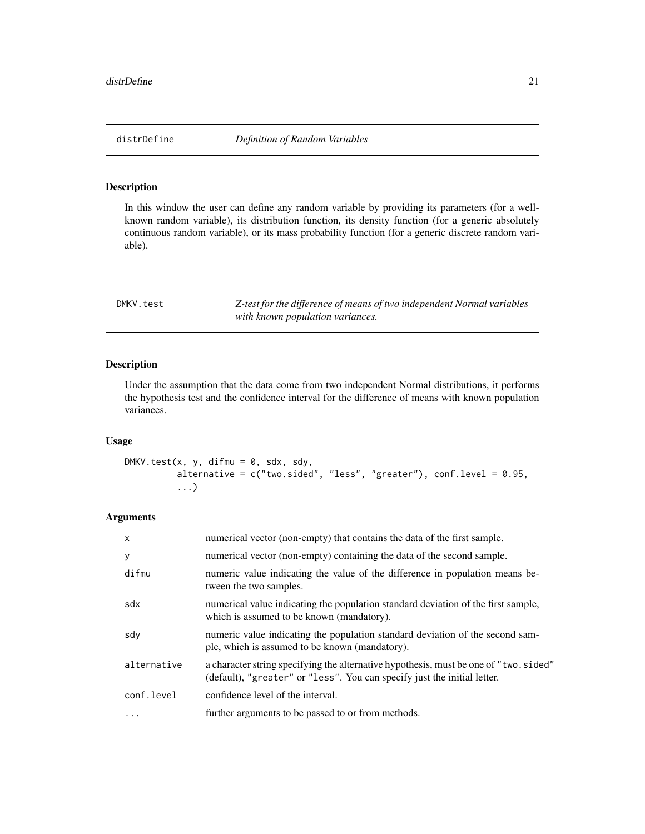### <span id="page-20-0"></span>Description

In this window the user can define any random variable by providing its parameters (for a wellknown random variable), its distribution function, its density function (for a generic absolutely continuous random variable), or its mass probability function (for a generic discrete random variable).

<span id="page-20-1"></span>

| DMKV.test | Z-test for the difference of means of two independent Normal variables |
|-----------|------------------------------------------------------------------------|
|           | with known population variances.                                       |

### Description

Under the assumption that the data come from two independent Normal distributions, it performs the hypothesis test and the confidence interval for the difference of means with known population variances.

#### Usage

```
DMKV.test(x, y, difmu = 0, sdx, sdy,
          alternative = c("two-sided", "less", "greater"), conf. level = 0.95,...)
```
### Arguments

| $\times$    | numerical vector (non-empty) that contains the data of the first sample.                                                                                          |
|-------------|-------------------------------------------------------------------------------------------------------------------------------------------------------------------|
| У           | numerical vector (non-empty) containing the data of the second sample.                                                                                            |
| difmu       | numeric value indicating the value of the difference in population means be-<br>tween the two samples.                                                            |
| sdx         | numerical value indicating the population standard deviation of the first sample,<br>which is assumed to be known (mandatory).                                    |
| sdy         | numeric value indicating the population standard deviation of the second sam-<br>ple, which is assumed to be known (mandatory).                                   |
| alternative | a character string specifying the alternative hypothesis, must be one of "two. sided"<br>(default), "greater" or "less". You can specify just the initial letter. |
| conf.level  | confidence level of the interval.                                                                                                                                 |
| .           | further arguments to be passed to or from methods.                                                                                                                |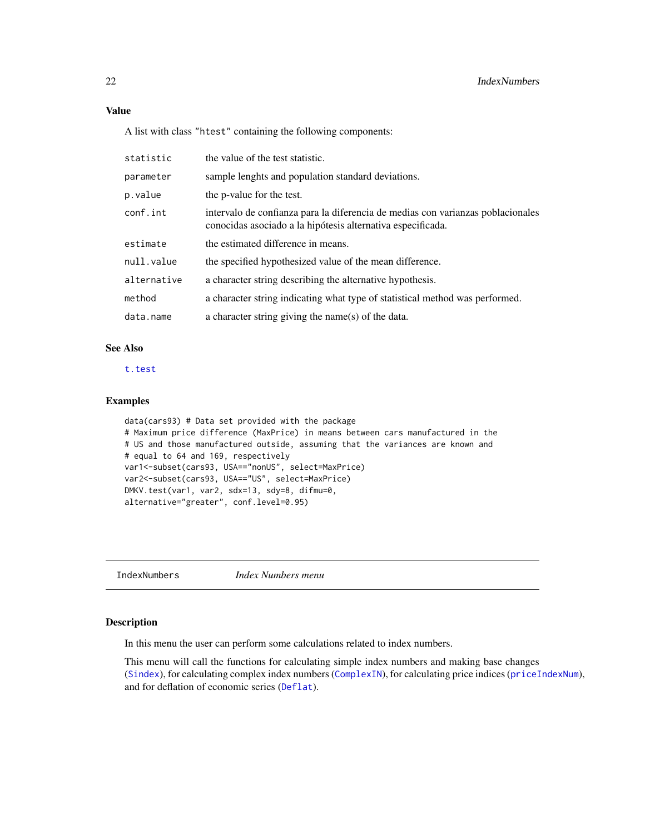### <span id="page-21-0"></span>Value

A list with class "htest" containing the following components:

| statistic   | the value of the test statistic.                                                                                                               |
|-------------|------------------------------------------------------------------------------------------------------------------------------------------------|
| parameter   | sample lenghts and population standard deviations.                                                                                             |
| p.value     | the p-value for the test.                                                                                                                      |
| conf.int    | intervalo de confianza para la diferencia de medias con varianzas poblacionales<br>conocidas asociado a la hipótesis alternativa especificada. |
| estimate    | the estimated difference in means.                                                                                                             |
| null.value  | the specified hypothesized value of the mean difference.                                                                                       |
| alternative | a character string describing the alternative hypothesis.                                                                                      |
| method      | a character string indicating what type of statistical method was performed.                                                                   |
| data.name   | a character string giving the name(s) of the data.                                                                                             |

### See Also

[t.test](#page-0-0)

### Examples

```
data(cars93) # Data set provided with the package
# Maximum price difference (MaxPrice) in means between cars manufactured in the
# US and those manufactured outside, assuming that the variances are known and
# equal to 64 and 169, respectively
var1<-subset(cars93, USA=="nonUS", select=MaxPrice)
var2<-subset(cars93, USA=="US", select=MaxPrice)
DMKV.test(var1, var2, sdx=13, sdy=8, difmu=0,
alternative="greater", conf.level=0.95)
```
IndexNumbers *Index Numbers menu*

#### Description

In this menu the user can perform some calculations related to index numbers.

This menu will call the functions for calculating simple index numbers and making base changes ([Sindex](#page-31-1)), for calculating complex index numbers ([ComplexIN](#page-15-1)), for calculating price indices ([priceIndexNum](#page-28-1)), and for deflation of economic series ([Deflat](#page-18-1)).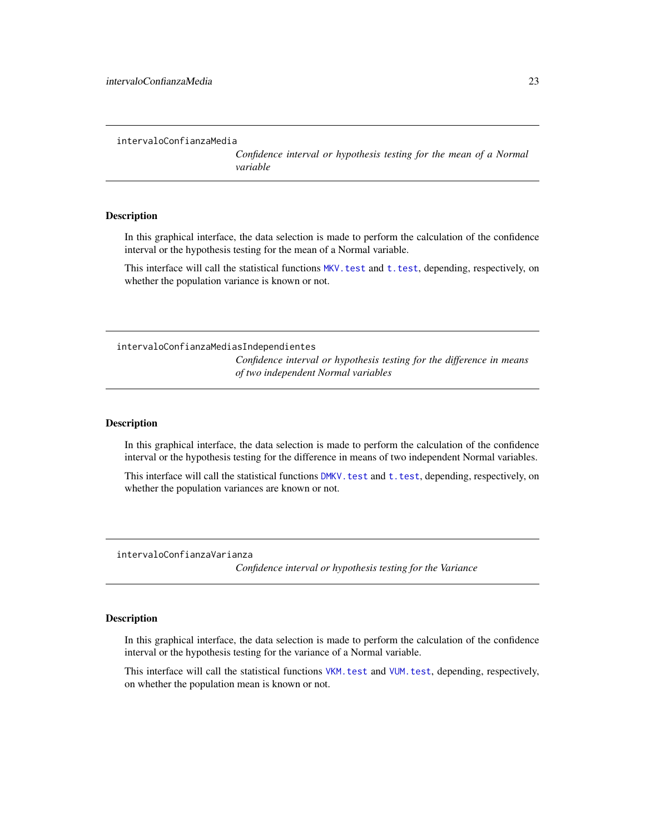```
intervaloConfianzaMedia
```
*Confidence interval or hypothesis testing for the mean of a Normal variable*

### **Description**

In this graphical interface, the data selection is made to perform the calculation of the confidence interval or the hypothesis testing for the mean of a Normal variable.

This interface will call the statistical functions MKV. test and t. test, depending, respectively, on whether the population variance is known or not.

intervaloConfianzaMediasIndependientes *Confidence interval or hypothesis testing for the difference in means of two independent Normal variables*

### Description

In this graphical interface, the data selection is made to perform the calculation of the confidence interval or the hypothesis testing for the difference in means of two independent Normal variables.

This interface will call the statistical functions DMKV. test and t. test, depending, respectively, on whether the population variances are known or not.

intervaloConfianzaVarianza

*Confidence interval or hypothesis testing for the Variance*

### Description

In this graphical interface, the data selection is made to perform the calculation of the confidence interval or the hypothesis testing for the variance of a Normal variable.

This interface will call the statistical functions [VKM.test](#page-33-1) and [VUM.test](#page-34-1), depending, respectively, on whether the population mean is known or not.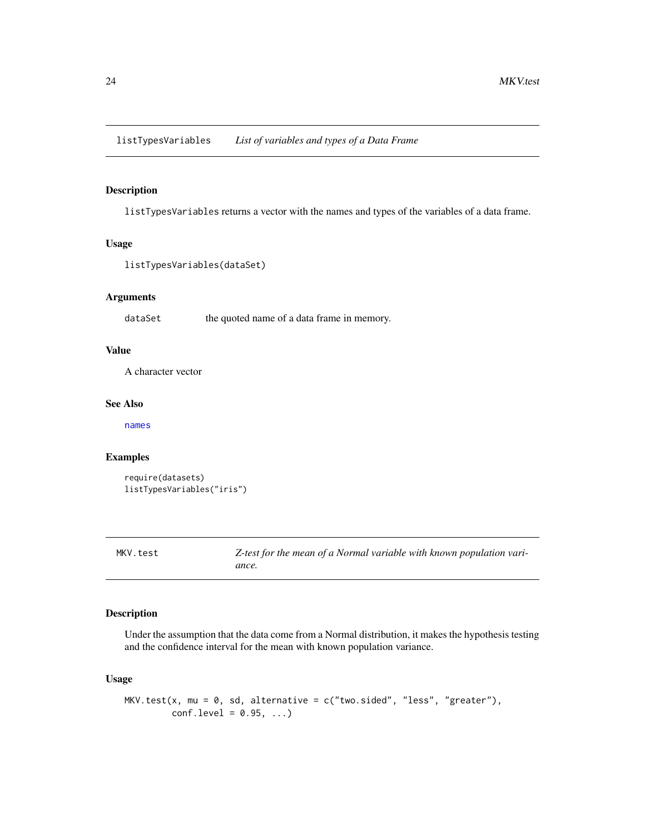<span id="page-23-0"></span>listTypesVariables *List of variables and types of a Data Frame*

### Description

listTypesVariables returns a vector with the names and types of the variables of a data frame.

#### Usage

```
listTypesVariables(dataSet)
```
### Arguments

dataSet the quoted name of a data frame in memory.

### Value

A character vector

### See Also

[names](#page-0-0)

### Examples

```
require(datasets)
listTypesVariables("iris")
```
<span id="page-23-1"></span>MKV.test *Z-test for the mean of a Normal variable with known population variance.*

### Description

Under the assumption that the data come from a Normal distribution, it makes the hypothesis testing and the confidence interval for the mean with known population variance.

### Usage

```
MKV.test(x, mu = 0, sd, alternative = c("two-sided", "less", "greater"),conf. level = 0.95, ...
```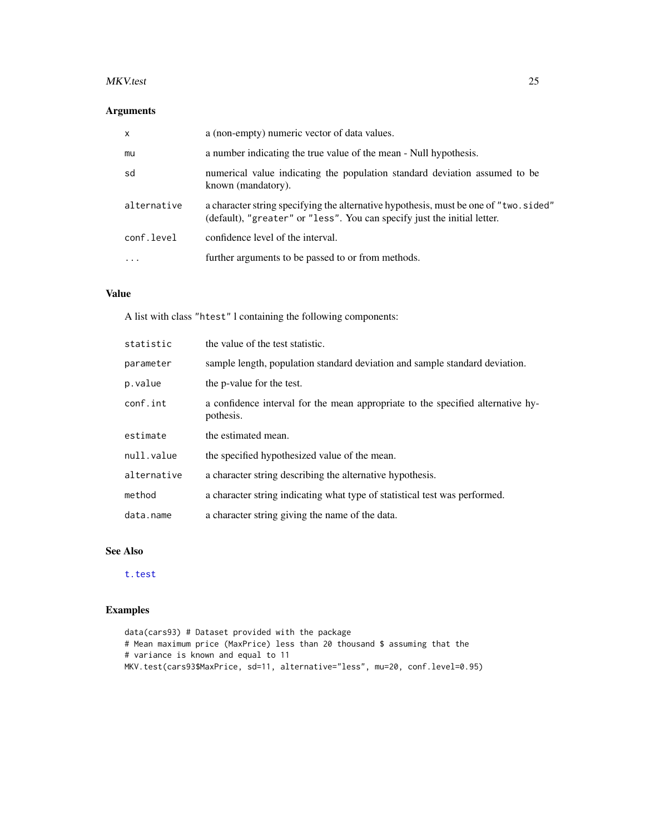#### <span id="page-24-0"></span>MKV.test 25

### Arguments

| $\mathsf{x}$ | a (non-empty) numeric vector of data values.                                                                                                                      |
|--------------|-------------------------------------------------------------------------------------------------------------------------------------------------------------------|
| mu           | a number indicating the true value of the mean - Null hypothesis.                                                                                                 |
| sd           | numerical value indicating the population standard deviation assumed to be<br>known (mandatory).                                                                  |
| alternative  | a character string specifying the alternative hypothesis, must be one of "two. sided"<br>(default), "greater" or "less". You can specify just the initial letter. |
| conf.level   | confidence level of the interval.                                                                                                                                 |
| .            | further arguments to be passed to or from methods.                                                                                                                |

### Value

A list with class "htest" l containing the following components:

| statistic   | the value of the test statistic.                                                             |
|-------------|----------------------------------------------------------------------------------------------|
| parameter   | sample length, population standard deviation and sample standard deviation.                  |
| p.value     | the p-value for the test.                                                                    |
| conf.int    | a confidence interval for the mean appropriate to the specified alternative hy-<br>pothesis. |
| estimate    | the estimated mean.                                                                          |
| null.value  | the specified hypothesized value of the mean.                                                |
| alternative | a character string describing the alternative hypothesis.                                    |
| method      | a character string indicating what type of statistical test was performed.                   |
| data.name   | a character string giving the name of the data.                                              |

### See Also

[t.test](#page-0-0)

### Examples

data(cars93) # Dataset provided with the package # Mean maximum price (MaxPrice) less than 20 thousand \$ assuming that the # variance is known and equal to 11 MKV.test(cars93\$MaxPrice, sd=11, alternative="less", mu=20, conf.level=0.95)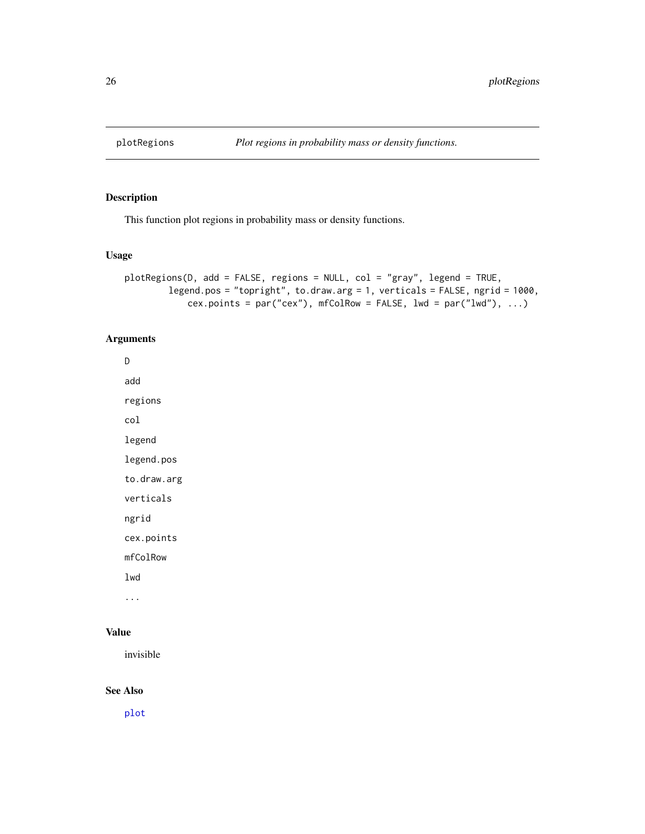<span id="page-25-0"></span>

### Description

This function plot regions in probability mass or density functions.

### Usage

```
plotRegions(D, add = FALSE, regions = NULL, col = "gray", legend = TRUE,
        legend.pos = "topright", to.draw.arg = 1, verticals = FALSE, ngrid = 1000,
            cex.points = par("cex"), mfColRow = FALSE, lwd = par("lwd"), ...)
```
### Arguments

D add regions col legend legend.pos to.draw.arg verticals ngrid cex.points mfColRow lwd ...

### Value

invisible

### See Also

[plot](#page-0-0)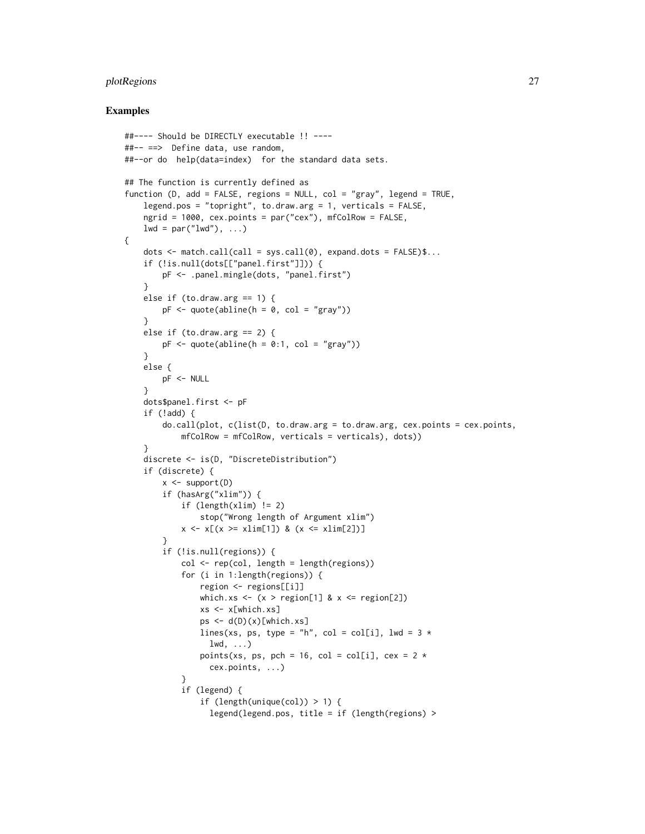### plotRegions 27

#### Examples

{

```
##---- Should be DIRECTLY executable !! ----
##-- ==> Define data, use random,
##--or do help(data=index) for the standard data sets.
## The function is currently defined as
function (D, add = FALSE, regions = NULL, col = "gray", legend = TRUE,
    legend.pos = "topright", to.draw.arg = 1, verticals = FALSE,
   ngrid = 1000, cex.points = par("cex"), mfColRow = FALSE,
   lwd = par("lwd"), ...)
   dots \leq match.call(call = sys.call(0), expand.dots = FALSE)$...
   if (!is.null(dots[["panel.first"]])) {
       pF <- .panel.mingle(dots, "panel.first")
    }
   else if (to.draw.arg == 1) {
       pF \leftarrow quote(abline(h = 0, col = "gray")}
   else if (to.draw.arg == 2) {
       pF \leq - quote(abline(h = 0:1, col = "gray"))
    }
   else {
       pF <- NULL
    }
    dots$panel.first <- pF
    if (!add) {
        do.call(plot, c(list(D, to. draw.argv = to. draw.argv, cex.points = cex.points,mfColRow = mfColRow, verticals = verticals), dots)}
   discrete <- is(D, "DiscreteDistribution")
    if (discrete) {
        x <- support(D)
        if (hasArg("xlim")) {
            if (length(xlim) != 2)stop("Wrong length of Argument xlim")
            x \le x (x > xlim[1]) & (x \le x xlim[2])]
        }
        if (!is.null(regions)) {
            col <- rep(col, length = length(regions))
            for (i in 1:length(regions)) {
                region <- regions[[i]]
                which.xs \leq - (x > region[1] & x \leq - region[2])
                xs <- x[which.xs]
                ps \leftarrow d(D)(x)[which.xs]lines(xs, ps, type = "h", col = col[i], lwd = 3 *1wd, \ldots)points(xs, ps, pch = 16, col = col[i], cex = 2 *cex.points, ...)
            }
            if (legend) {
                if (length(unique(col)) > 1) {
                  legend(legend.pos, title = if (length(regions) >
```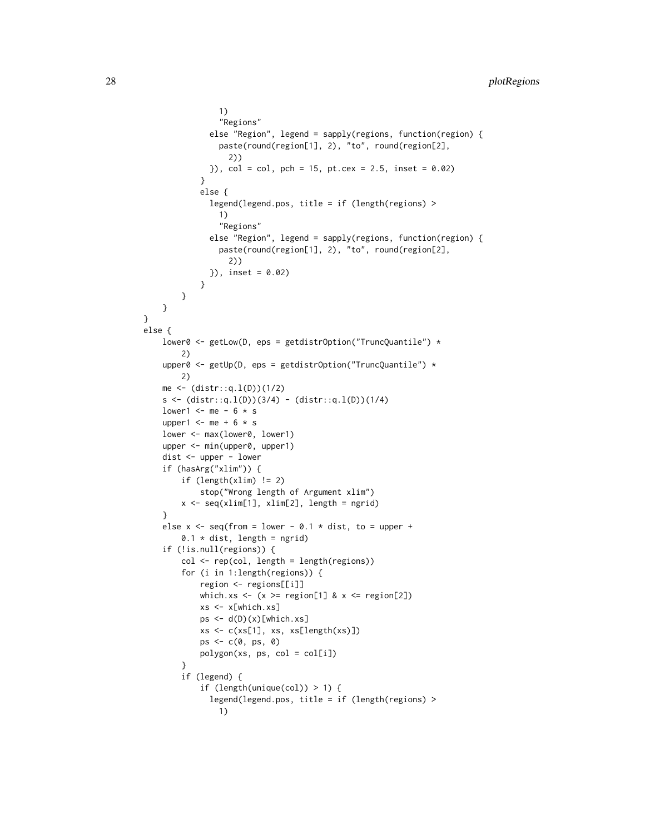```
1)
                 "Regions"
              else "Region", legend = sapply(regions, function(region) {
                 paste(round(region[1], 2), "to", round(region[2],
                   2))
              }), col = col, pch = 15, pt.cex = 2.5, inset = 0.02)
            }
            else {
              legend(legend.pos, title = if (length(regions) >
                 1)
                 "Regions"
              else "Region", legend = sapply(regions, function(region) {
                 paste(round(region[1], 2), "to", round(region[2],
                   2))
              }), inset = 0.02)
            }
        }
    }
}
else {
    lower0 <- getLow(D, eps = getdistrOption("TruncQuantile") *
        2)
    upper0 <- getUp(D, eps = getdistrOption("TruncQuantile") *
        2)
    me < - (distr::q.1(D))(1/2)s \leftarrow (distr::q.1(D))(3/4) - (distr::q.1(D))(1/4)lower1 <- me - 6 * s
    upper1 \leq me + 6 \star s
    lower <- max(lower0, lower1)
    upper <- min(upper0, upper1)
    dist <- upper - lower
    if (hasArg("xlim")) {
        if (length(xlim) != 2)
            stop("Wrong length of Argument xlim")
        x <- seq(xlim[1], xlim[2], length = ngrid)
    }
    else x \leq - seq(from = lower - 0.1 * dist, to = upper +
        0.1 \times dist, length = ngrid)
    if (!is.null(regions)) {
        col <- rep(col, length = length(regions))
        for (i in 1:length(regions)) {
            region <- regions[[i]]
            which.xs <- (x \geq - region[1] & x \leq - region[2])
            xs <- x[which.xs]
            ps < -d(D)(x)[which.xs]xs \leftarrow c(xs[1], xs, xs[length(xs)]ps \leftarrow c(\emptyset, ps, \emptyset)polygon(xs, ps, col = col[i])
        }
        if (legend) {
            if (length(unique(col)) > 1) {
              legend(legend.pos, title = if (length(regions) >
                1)
```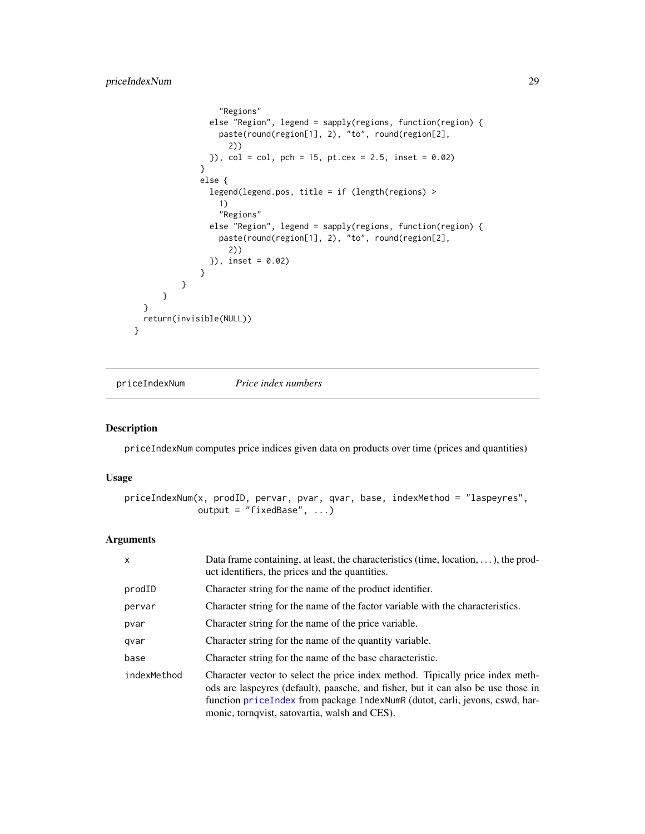```
"Regions"
                else "Region", legend = sapply(regions, function(region) {
                  paste(round(region[1], 2), "to", round(region[2],
                    2))
                }), col = col, pch = 15, pt. cex = 2.5, inset = 0.02)
              }
              else {
                legend(legend.pos, title = if (length(regions) >
                  1)
                  "Regions"
                else "Region", legend = sapply(regions, function(region) {
                  paste(round(region[1], 2), "to", round(region[2],
                    2))
                }), inset = 0.02)
              }
          }
     }
 }
 return(invisible(NULL))
}
```
<span id="page-28-1"></span>priceIndexNum *Price index numbers*

### Description

priceIndexNum computes price indices given data on products over time (prices and quantities)

#### Usage

```
priceIndexNum(x, prodID, pervar, pvar, qvar, base, indexMethod = "laspeyres",
              output = "fixedBase", ...)
```
### Arguments

| $\mathsf{x}$ | Data frame containing, at least, the characteristics (time, location, $\dots$ ), the prod-<br>uct identifiers, the prices and the quantities.                                                                                                                                                        |
|--------------|------------------------------------------------------------------------------------------------------------------------------------------------------------------------------------------------------------------------------------------------------------------------------------------------------|
| prodID       | Character string for the name of the product identifier.                                                                                                                                                                                                                                             |
| pervar       | Character string for the name of the factor variable with the characteristics.                                                                                                                                                                                                                       |
| pvar         | Character string for the name of the price variable.                                                                                                                                                                                                                                                 |
| qvar         | Character string for the name of the quantity variable.                                                                                                                                                                                                                                              |
| base         | Character string for the name of the base characteristic.                                                                                                                                                                                                                                            |
| indexMethod  | Character vector to select the price index method. Tipically price index meth-<br>ods are laspeyres (default), paasche, and fisher, but it can also be use those in<br>function priceIndex from package IndexNumR (dutot, carli, jevons, cswd, har-<br>monic, tornqvist, satovartia, walsh and CES). |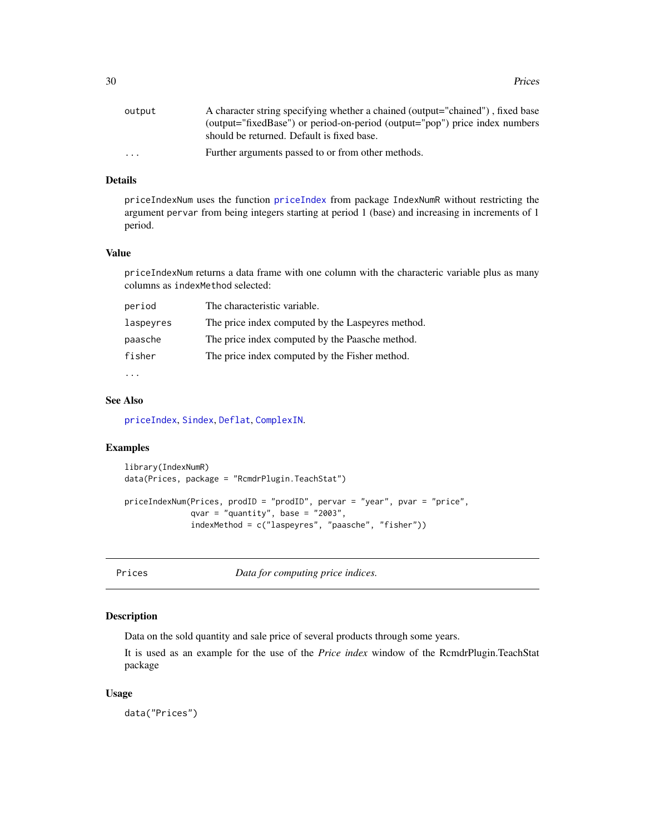<span id="page-29-0"></span>

| output                  | A character string specifying whether a chained (output="chained"), fixed base |
|-------------------------|--------------------------------------------------------------------------------|
|                         | (output="fixedBase") or period-on-period (output="pop") price index numbers    |
|                         | should be returned. Default is fixed base.                                     |
| $\cdot$ $\cdot$ $\cdot$ | Further arguments passed to or from other methods.                             |

### Details

priceIndexNum uses the function [priceIndex](#page-0-0) from package IndexNumR without restricting the argument pervar from being integers starting at period 1 (base) and increasing in increments of 1 period.

#### Value

priceIndexNum returns a data frame with one column with the characteric variable plus as many columns as indexMethod selected:

| period    | The characteristic variable.                      |
|-----------|---------------------------------------------------|
| laspeyres | The price index computed by the Laspeyres method. |
| paasche   | The price index computed by the Paasche method.   |
| fisher    | The price index computed by the Fisher method.    |
|           |                                                   |

#### See Also

[priceIndex](#page-0-0), [Sindex](#page-31-1), [Deflat](#page-18-1), [ComplexIN](#page-15-1).

### Examples

```
library(IndexNumR)
data(Prices, package = "RcmdrPlugin.TeachStat")
priceIndexNum(Prices, prodID = "prodID", pervar = "year", pvar = "price",
              qvar = "quantity", base = "2003",
              indexMethod = c("laspeyres", "paasche", "fisher"))
```
Prices *Data for computing price indices.*

#### Description

Data on the sold quantity and sale price of several products through some years.

It is used as an example for the use of the *Price index* window of the RcmdrPlugin.TeachStat package

#### Usage

data("Prices")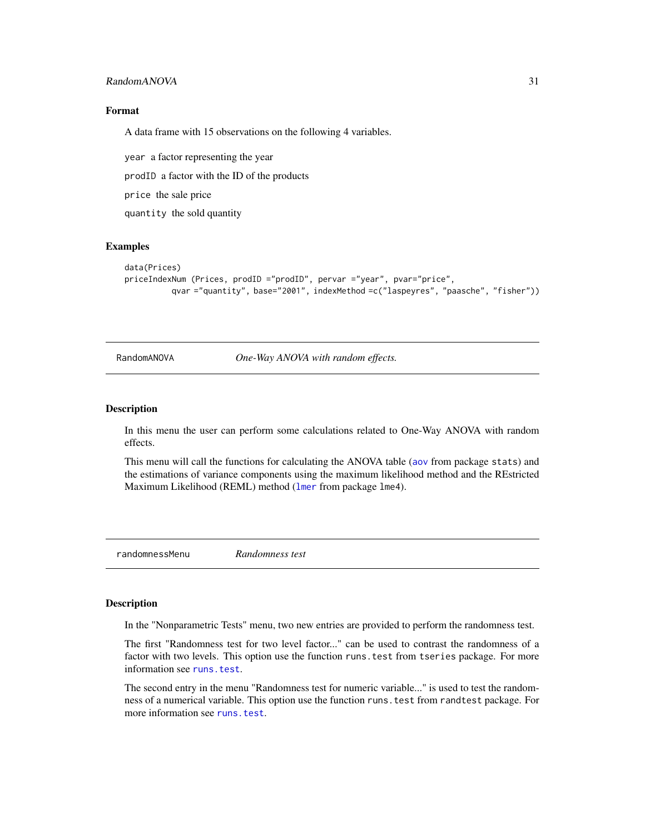### <span id="page-30-0"></span>RandomANOVA 31

### Format

A data frame with 15 observations on the following 4 variables.

year a factor representing the year

prodID a factor with the ID of the products

price the sale price

quantity the sold quantity

### Examples

```
data(Prices)
priceIndexNum (Prices, prodID ="prodID", pervar ="year", pvar="price",
          qvar ="quantity", base="2001", indexMethod =c("laspeyres", "paasche", "fisher"))
```
RandomANOVA *One-Way ANOVA with random effects.*

#### Description

In this menu the user can perform some calculations related to One-Way ANOVA with random effects.

This menu will call the functions for calculating the ANOVA table ([aov](#page-0-0) from package stats) and the estimations of variance components using the maximum likelihood method and the REstricted Maximum Likelihood (REML) method ([lmer](#page-0-0) from package lme4).

randomnessMenu *Randomness test*

### Description

In the "Nonparametric Tests" menu, two new entries are provided to perform the randomness test.

The first "Randomness test for two level factor..." can be used to contrast the randomness of a factor with two levels. This option use the function runs. test from tseries package. For more information see [runs.test](#page-0-0).

The second entry in the menu "Randomness test for numeric variable..." is used to test the randomness of a numerical variable. This option use the function runs.test from randtest package. For more information see [runs.test](#page-0-0).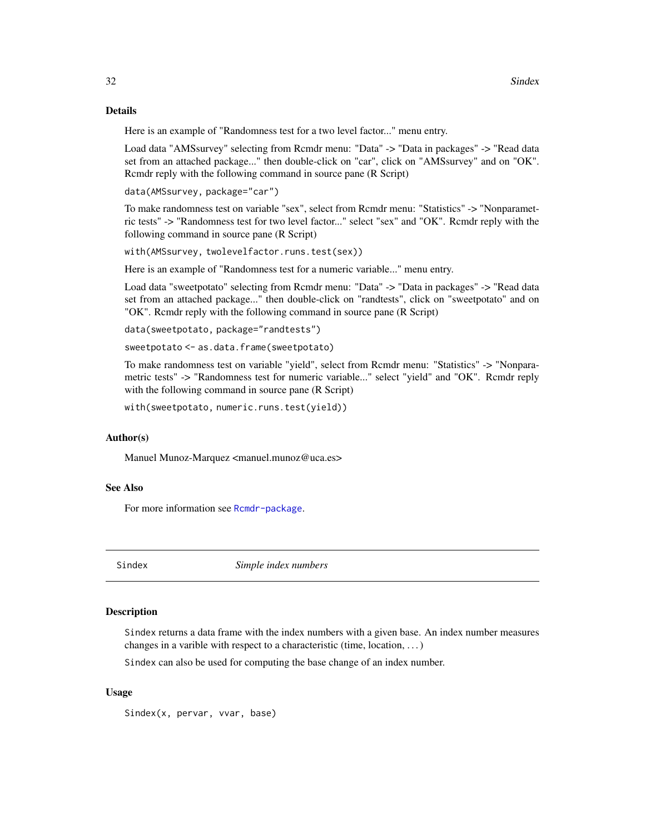#### <span id="page-31-0"></span>Details

Here is an example of "Randomness test for a two level factor..." menu entry.

Load data "AMSsurvey" selecting from Rcmdr menu: "Data" -> "Data in packages" -> "Read data set from an attached package..." then double-click on "car", click on "AMSsurvey" and on "OK". Rcmdr reply with the following command in source pane (R Script)

data(AMSsurvey, package="car")

To make randomness test on variable "sex", select from Rcmdr menu: "Statistics" -> "Nonparametric tests" -> "Randomness test for two level factor..." select "sex" and "OK". Rcmdr reply with the following command in source pane (R Script)

with(AMSsurvey, twolevelfactor.runs.test(sex))

Here is an example of "Randomness test for a numeric variable..." menu entry.

Load data "sweetpotato" selecting from Rcmdr menu: "Data" -> "Data in packages" -> "Read data set from an attached package..." then double-click on "randtests", click on "sweetpotato" and on "OK". Rcmdr reply with the following command in source pane (R Script)

```
data(sweetpotato, package="randtests")
```
sweetpotato <- as.data.frame(sweetpotato)

To make randomness test on variable "yield", select from Rcmdr menu: "Statistics" -> "Nonparametric tests" -> "Randomness test for numeric variable..." select "yield" and "OK". Rcmdr reply with the following command in source pane (R Script)

with(sweetpotato, numeric.runs.test(yield))

### Author(s)

Manuel Munoz-Marquez <manuel.munoz@uca.es>

### See Also

For more information see [Rcmdr-package](#page-0-0).

<span id="page-31-1"></span>

Sindex *Simple index numbers*

### **Description**

Sindex returns a data frame with the index numbers with a given base. An index number measures changes in a varible with respect to a characteristic (time, location,  $\dots$ )

Sindex can also be used for computing the base change of an index number.

### Usage

Sindex(x, pervar, vvar, base)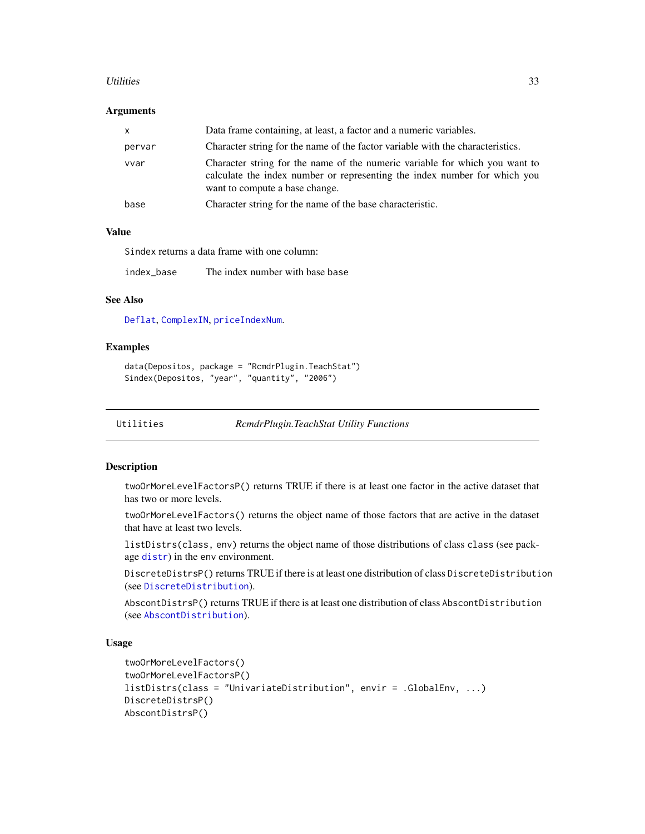#### <span id="page-32-0"></span>Utilities 33

#### **Arguments**

| <b>X</b> | Data frame containing, at least, a factor and a numeric variables.                                                                                                                         |
|----------|--------------------------------------------------------------------------------------------------------------------------------------------------------------------------------------------|
| pervar   | Character string for the name of the factor variable with the characteristics.                                                                                                             |
| vvar     | Character string for the name of the numeric variable for which you want to<br>calculate the index number or representing the index number for which you<br>want to compute a base change. |
| base     | Character string for the name of the base characteristic.                                                                                                                                  |

### Value

Sindex returns a data frame with one column:

index\_base The index number with base base

### See Also

[Deflat](#page-18-1), [ComplexIN](#page-15-1), [priceIndexNum](#page-28-1).

#### Examples

```
data(Depositos, package = "RcmdrPlugin.TeachStat")
Sindex(Depositos, "year", "quantity", "2006")
```

```
Utilities RcmdrPlugin.TeachStat Utility Functions
```
### Description

twoOrMoreLevelFactorsP() returns TRUE if there is at least one factor in the active dataset that has two or more levels.

twoOrMoreLevelFactors() returns the object name of those factors that are active in the dataset that have at least two levels.

listDistrs(class, env) returns the object name of those distributions of class class (see package [distr](#page-0-0)) in the env environment.

DiscreteDistrsP() returns TRUE if there is at least one distribution of class DiscreteDistribution (see [DiscreteDistribution](#page-0-0)).

AbscontDistrsP() returns TRUE if there is at least one distribution of class AbscontDistribution (see [AbscontDistribution](#page-0-0)).

### Usage

```
twoOrMoreLevelFactors()
twoOrMoreLevelFactorsP()
listDistrs(class = "UnivariateDistribution", envir = .GlobalEnv, ...)
DiscreteDistrsP()
AbscontDistrsP()
```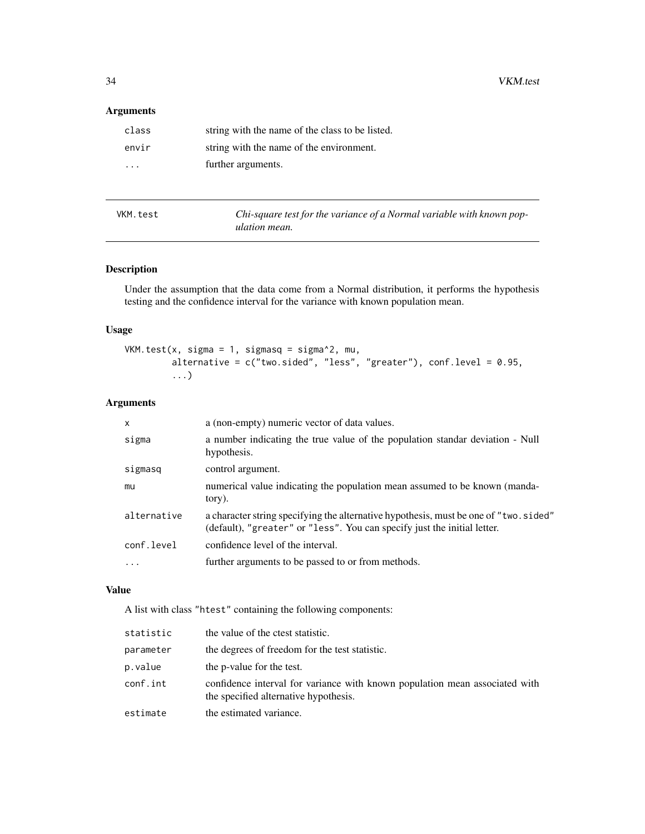### <span id="page-33-0"></span>Arguments

| class    | string with the name of the class to be listed. |
|----------|-------------------------------------------------|
| envir    | string with the name of the environment.        |
| $\cdots$ | further arguments.                              |
|          |                                                 |

<span id="page-33-1"></span>

| VKM.test | Chi-square test for the variance of a Normal variable with known pop- |
|----------|-----------------------------------------------------------------------|
|          | ulation mean.                                                         |

### Description

Under the assumption that the data come from a Normal distribution, it performs the hypothesis testing and the confidence interval for the variance with known population mean.

### Usage

```
VKM.test(x, sigma = 1, sigmasq = sigma^2, mu,
         alternative = c("two.sided", "less", "greater"), conf.level = 0.95,
         ...)
```
### Arguments

| X                       | a (non-empty) numeric vector of data values.                                                                                                                      |
|-------------------------|-------------------------------------------------------------------------------------------------------------------------------------------------------------------|
| sigma                   | a number indicating the true value of the population standar deviation - Null<br>hypothesis.                                                                      |
| sigmasq                 | control argument.                                                                                                                                                 |
| mu                      | numerical value indicating the population mean assumed to be known (manda-<br>tory).                                                                              |
| alternative             | a character string specifying the alternative hypothesis, must be one of "two. sided"<br>(default), "greater" or "less". You can specify just the initial letter. |
| conf.level              | confidence level of the interval.                                                                                                                                 |
| $\cdot$ $\cdot$ $\cdot$ | further arguments to be passed to or from methods.                                                                                                                |

### Value

A list with class "htest" containing the following components:

| statistic | the value of the crest statistic.                                                                                    |
|-----------|----------------------------------------------------------------------------------------------------------------------|
| parameter | the degrees of freedom for the test statistic.                                                                       |
| p.value   | the p-value for the test.                                                                                            |
| conf.int  | confidence interval for variance with known population mean associated with<br>the specified alternative hypothesis. |
| estimate  | the estimated variance.                                                                                              |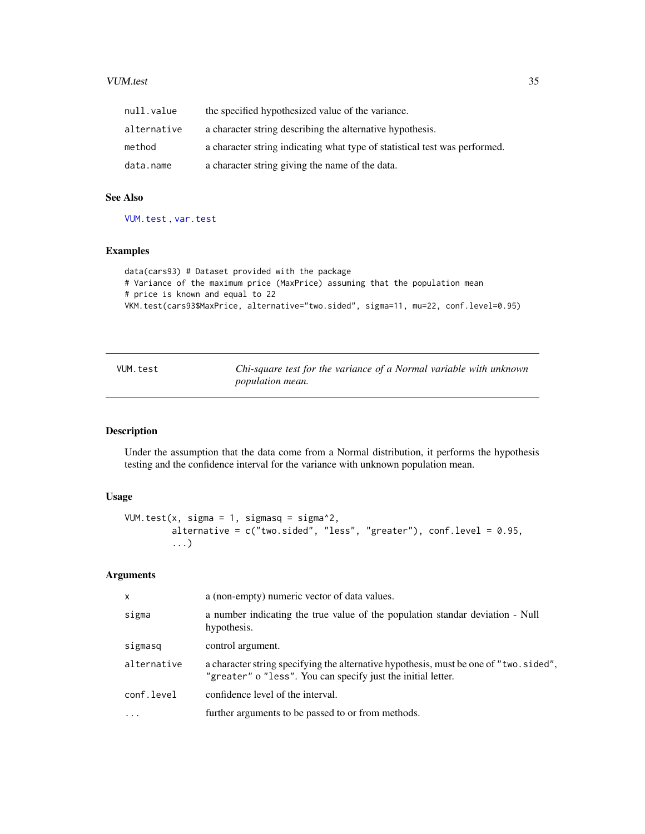#### <span id="page-34-0"></span>VUM.test 35

| null.value  | the specified hypothesized value of the variance.                          |
|-------------|----------------------------------------------------------------------------|
| alternative | a character string describing the alternative hypothesis.                  |
| method      | a character string indicating what type of statistical test was performed. |
| data.name   | a character string giving the name of the data.                            |

### See Also

[VUM.test](#page-34-1) , [var.test](#page-0-0)

### Examples

```
data(cars93) # Dataset provided with the package
# Variance of the maximum price (MaxPrice) assuming that the population mean
# price is known and equal to 22
VKM.test(cars93$MaxPrice, alternative="two.sided", sigma=11, mu=22, conf.level=0.95)
```
<span id="page-34-1"></span>

| VUM.test | Chi-square test for the variance of a Normal variable with unknown |
|----------|--------------------------------------------------------------------|
|          | <i>population mean.</i>                                            |

### Description

Under the assumption that the data come from a Normal distribution, it performs the hypothesis testing and the confidence interval for the variance with unknown population mean.

### Usage

```
VUM.test(x, sigma = 1, sigmasq = sigma^2,
         alternative = c("two.sided", "less", "greater"), conf. level = 0.95,...)
```
### Arguments

| $\mathsf{x}$ | a (non-empty) numeric vector of data values.                                                                                                           |
|--------------|--------------------------------------------------------------------------------------------------------------------------------------------------------|
| sigma        | a number indicating the true value of the population standar deviation - Null<br>hypothesis.                                                           |
| sigmasq      | control argument.                                                                                                                                      |
| alternative  | a character string specifying the alternative hypothesis, must be one of "two. sided",<br>"greater" o "less". You can specify just the initial letter. |
| conf.level   | confidence level of the interval.                                                                                                                      |
| .            | further arguments to be passed to or from methods.                                                                                                     |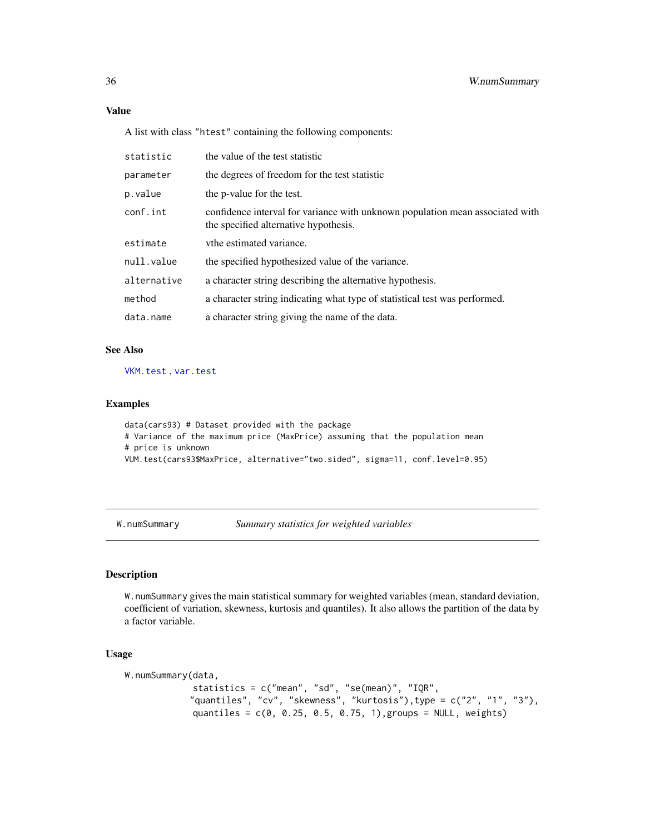A list with class "htest" containing the following components:

| statistic   | the value of the test statistic                                                                                        |
|-------------|------------------------------------------------------------------------------------------------------------------------|
| parameter   | the degrees of freedom for the test statistic                                                                          |
| p.value     | the p-value for the test.                                                                                              |
| conf.int    | confidence interval for variance with unknown population mean associated with<br>the specified alternative hypothesis. |
| estimate    | vthe estimated variance.                                                                                               |
| null.value  | the specified hypothesized value of the variance.                                                                      |
| alternative | a character string describing the alternative hypothesis.                                                              |
| method      | a character string indicating what type of statistical test was performed.                                             |
| data.name   | a character string giving the name of the data.                                                                        |

#### See Also

[VKM.test](#page-33-1) , [var.test](#page-0-0)

#### Examples

```
data(cars93) # Dataset provided with the package
# Variance of the maximum price (MaxPrice) assuming that the population mean
# price is unknown
VUM.test(cars93$MaxPrice, alternative="two.sided", sigma=11, conf.level=0.95)
```
W.numSummary *Summary statistics for weighted variables*

### Description

W.numSummary gives the main statistical summary for weighted variables (mean, standard deviation, coefficient of variation, skewness, kurtosis and quantiles). It also allows the partition of the data by a factor variable.

### Usage

```
W.numSummary(data,
             statistics = c("mean", "sd", "se(mean)", "IQR",
            "quantiles", "cv", "skewness", "kurtosis"),type = c("2", "1", "3"),
             quantiles = c(0, 0.25, 0.5, 0.75, 1), groups = NULL, weights)
```
<span id="page-35-0"></span>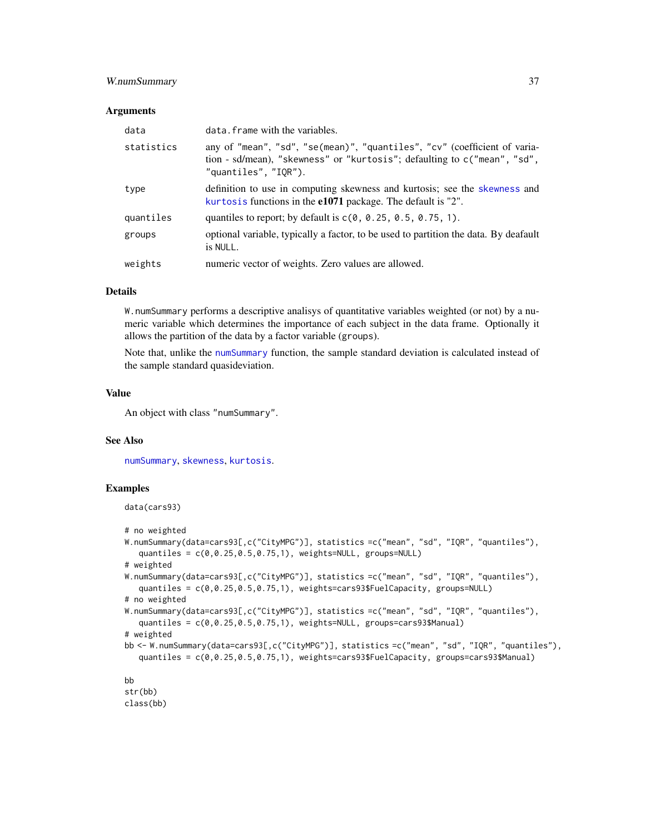### <span id="page-36-0"></span>W.numSummary 37

#### **Arguments**

| data       | data. frame with the variables.                                                                                                                                               |
|------------|-------------------------------------------------------------------------------------------------------------------------------------------------------------------------------|
| statistics | any of "mean", "sd", "se(mean)", "quantiles", "cv" (coefficient of varia-<br>tion - sd/mean), "skewness" or "kurtosis"; defaulting to c("mean", "sd",<br>"quantiles", "IOR"). |
| type       | definition to use in computing skewness and kurtosis; see the skewness and<br>kurtosis functions in the e1071 package. The default is "2".                                    |
| quantiles  | quantiles to report; by default is $c(0, 0.25, 0.5, 0.75, 1)$ .                                                                                                               |
| groups     | optional variable, typically a factor, to be used to partition the data. By deafault<br>is NULL.                                                                              |
| weights    | numeric vector of weights. Zero values are allowed.                                                                                                                           |

#### Details

W.numSummary performs a descriptive analisys of quantitative variables weighted (or not) by a numeric variable which determines the importance of each subject in the data frame. Optionally it allows the partition of the data by a factor variable (groups).

Note that, unlike the [numSummary](#page-0-0) function, the sample standard deviation is calculated instead of the sample standard quasideviation.

### Value

An object with class "numSummary".

### See Also

[numSummary](#page-0-0), [skewness](#page-0-0), [kurtosis](#page-0-0).

#### Examples

data(cars93)

```
# no weighted
```

```
W.numSummary(data=cars93[,c("CityMPG")], statistics =c("mean", "sd", "IQR", "quantiles"),
   quantiles = c(0,0.25,0.5,0.75,1), weights=NULL, groups=NULL)
# weighted
W.numSummary(data=cars93[,c("CityMPG")], statistics =c("mean", "sd", "IQR", "quantiles"),
   quantiles = c(0,0.25,0.5,0.75,1), weights=cars93$FuelCapacity, groups=NULL)
# no weighted
W.numSummary(data=cars93[,c("CityMPG")], statistics =c("mean", "sd", "IQR", "quantiles"),
   quantiles = c(0, 0.25, 0.5, 0.75, 1), weights=NULL, groups=cars93$Manual)
# weighted
bb <- W.numSummary(data=cars93[,c("CityMPG")], statistics =c("mean", "sd", "IQR", "quantiles"),
   quantiles = c(0,0.25,0.5,0.75,1), weights=cars93$FuelCapacity, groups=cars93$Manual)
bb
str(bb)
```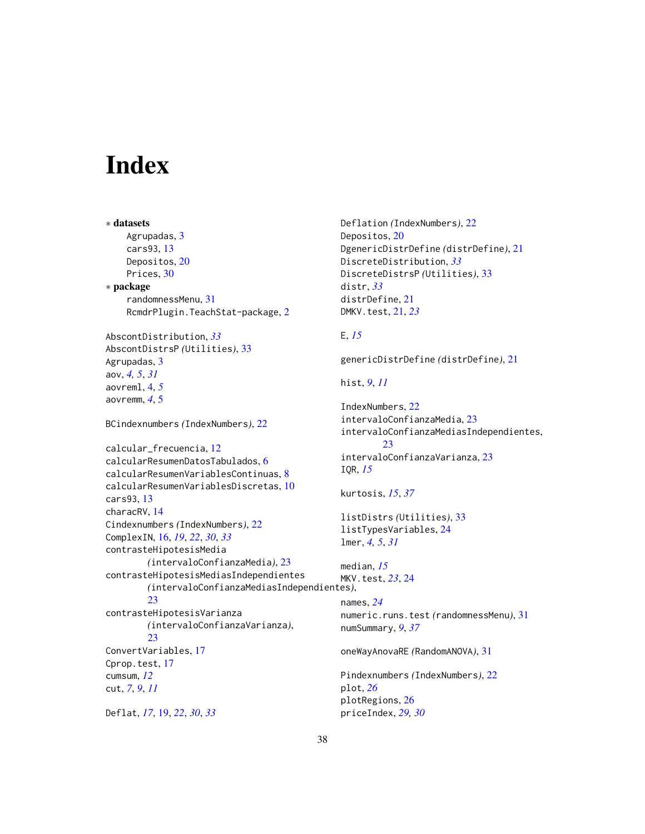# <span id="page-37-0"></span>**Index**

```
∗ datasets
    Agrupadas, 3
    cars93, 13
    Depositos, 20
    Prices, 30
∗ package
    randomnessMenu, 31
    RcmdrPlugin.TeachStat-package, 2
AbscontDistribution, 33
AbscontDistrsP (Utilities), 33
Agrupadas, 3
aov, 4, 5, 31
aovreml, 4, 5
aovremm, 4, 5
BCindexnumbers (IndexNumbers), 22
calcular_frecuencia, 12
calcularResumenDatosTabulados, 6
calcularResumenVariablesContinuas, 8
calcularResumenVariablesDiscretas, 10
cars93, 13
characRV, 14
Cindexnumbers (IndexNumbers), 22
ComplexIN, 16, 19, 22, 30, 33
contrasteHipotesisMedia
        (intervaloConfianzaMedia), 23
contrasteHipotesisMediasIndependientes
        (intervaloConfianzaMediasIndependientes),
        23contrasteHipotesisVarianza
        (intervaloConfianzaVarianza),
        23ConvertVariables, 17
Cprop.test, 17
cumsum, 12
cut, 7, 9, 11
Deflat, 17, 19, 22, 30, 33
                                                 E, 15
                                                 IQR, 15
```

```
Deflation (IndexNumbers), 22
Depositos, 20
DgenericDistrDefine (distrDefine), 21
DiscreteDistribution, 33
DiscreteDistrsP (Utilities), 33
distr, 33
distrDefine, 21
DMKV.test, 21, 23
```
genericDistrDefine *(*distrDefine*)*, [21](#page-20-0)

hist, *[9](#page-8-0)*, *[11](#page-10-0)*

```
IndexNumbers, 22
intervaloConfianzaMedia, 23
intervaloConfianzaMediasIndependientes,
        23
intervaloConfianzaVarianza, 23
```

```
kurtosis, 15, 37
```

```
listDistrs (Utilities), 33
listTypesVariables, 24
lmer, 4, 5, 31
```

```
median, 15
MKV.test, 23, 24
names, 24
```
numeric.runs.test *(*randomnessMenu*)*, [31](#page-30-0) numSummary, *[9](#page-8-0)*, *[37](#page-36-0)*

oneWayAnovaRE *(*RandomANOVA*)*, [31](#page-30-0)

```
Pindexnumbers (IndexNumbers), 22
plot, 26
plotRegions, 26
priceIndex, 29, 30
```